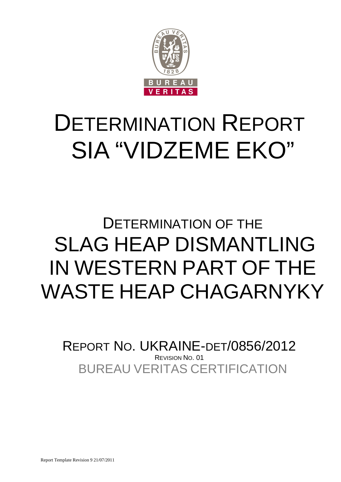

# DETERMINATION REPORT SIA "VIDZEME EKO"

# DETERMINATION OF THE SLAG HEAP DISMANTLING IN WESTERN PART OF THE WASTE HEAP CHAGARNYKY

BUREAU VERITAS CERTIFICATION REPORT NO. UKRAINE-DET/0856/2012 REVISION NO. 01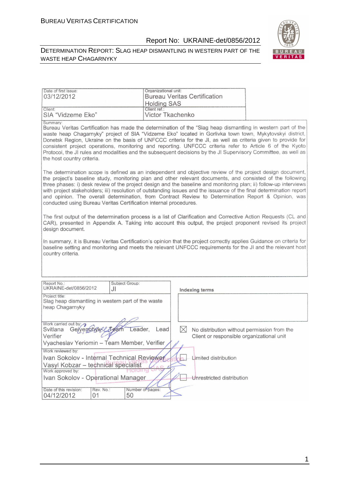#### DETERMINATION REPORT: SLAG HEAP DISMANTLING IN WESTERN PART OF THE WASTE HEAP CHAGARNYKY



| Date of first issue:<br>03/12/2012<br>Client:                                                                                                                                                                                                                                                                                                                                                                                                                                                                                                                                                                                                   | Organizational unit:<br><b>Bureau Veritas Certification</b><br><b>Holding SAS</b><br>Client ref.: |                                                                                          |  |
|-------------------------------------------------------------------------------------------------------------------------------------------------------------------------------------------------------------------------------------------------------------------------------------------------------------------------------------------------------------------------------------------------------------------------------------------------------------------------------------------------------------------------------------------------------------------------------------------------------------------------------------------------|---------------------------------------------------------------------------------------------------|------------------------------------------------------------------------------------------|--|
| SIA "Vidzeme Eko"                                                                                                                                                                                                                                                                                                                                                                                                                                                                                                                                                                                                                               | Victor Tkachenko                                                                                  |                                                                                          |  |
| Summary:<br>Bureau Veritas Certification has made the determination of the "Slag heap dismantling in western part of the<br>waste heap Chagarnyky" project of SIA "Vidzeme Eko" located in Gorlivka town town, Mykytovskyi district,<br>Donetsk Region, Ukraine on the basis of UNFCCC criteria for the JI, as well as criteria given to provide for<br>consistent project operations, monitoring and reporting. UNFCCC criteria refer to Article 6 of the Kyoto<br>Protocol, the JI rules and modalities and the subsequent decisions by the JI Supervisory Committee, as well as<br>the host country criteria.                                |                                                                                                   |                                                                                          |  |
| The determination scope is defined as an independent and objective review of the project design document,<br>the project's baseline study, monitoring plan and other relevant documents, and consisted of the following<br>three phases: i) desk review of the project design and the baseline and monitoring plan; ii) follow-up interviews<br>with project stakeholders; iii) resolution of outstanding issues and the issuance of the final determination report<br>and opinion. The overall determination, from Contract Review to Determination Report & Opinion, was<br>conducted using Bureau Veritas Certification internal procedures. |                                                                                                   |                                                                                          |  |
| The first output of the determination process is a list of Clarification and Corrective Action Requests (CL and<br>CAR), presented in Appendix A. Taking into account this output, the project proponent revised its project<br>design document.                                                                                                                                                                                                                                                                                                                                                                                                |                                                                                                   |                                                                                          |  |
| In summary, it is Bureau Veritas Certification's opinion that the project correctly applies Guidance on criteria for<br>baseline setting and monitoring and meets the relevant UNFCCC requirements for the JI and the relevant host<br>country criteria.                                                                                                                                                                                                                                                                                                                                                                                        |                                                                                                   |                                                                                          |  |
| Subject Group:<br>Report No.:<br>UKRAINE-det/0856/2012<br>JI                                                                                                                                                                                                                                                                                                                                                                                                                                                                                                                                                                                    |                                                                                                   | Indexing terms                                                                           |  |
| Project title:                                                                                                                                                                                                                                                                                                                                                                                                                                                                                                                                                                                                                                  |                                                                                                   |                                                                                          |  |
| Slag heap dismantling in western part of the waste<br>heap Chagarnyky                                                                                                                                                                                                                                                                                                                                                                                                                                                                                                                                                                           |                                                                                                   |                                                                                          |  |
|                                                                                                                                                                                                                                                                                                                                                                                                                                                                                                                                                                                                                                                 |                                                                                                   |                                                                                          |  |
| Work carried out by:<br>Geivenchuke<br>Svitlana<br>Leader.<br>Verifier                                                                                                                                                                                                                                                                                                                                                                                                                                                                                                                                                                          | $\bowtie$<br>Lead                                                                                 | No distribution without permission from the<br>Client or responsible organizational unit |  |
| Vyacheslav Yeriomin - Team Member, Veritier                                                                                                                                                                                                                                                                                                                                                                                                                                                                                                                                                                                                     |                                                                                                   |                                                                                          |  |
| Work reviewed by:                                                                                                                                                                                                                                                                                                                                                                                                                                                                                                                                                                                                                               |                                                                                                   |                                                                                          |  |
| Ivan Sokolov - Internal Technical Reviewer                                                                                                                                                                                                                                                                                                                                                                                                                                                                                                                                                                                                      |                                                                                                   | Limited distribution                                                                     |  |
| Vasyl Kobzar - technical specialist                                                                                                                                                                                                                                                                                                                                                                                                                                                                                                                                                                                                             |                                                                                                   |                                                                                          |  |
| Work approved by:<br>Ivan Sokolov - Operational Manager                                                                                                                                                                                                                                                                                                                                                                                                                                                                                                                                                                                         |                                                                                                   | Unrestricted distribution                                                                |  |
|                                                                                                                                                                                                                                                                                                                                                                                                                                                                                                                                                                                                                                                 |                                                                                                   |                                                                                          |  |
| Rev. No.:<br>Date of this revision:<br>04/12/2012<br>01<br>50                                                                                                                                                                                                                                                                                                                                                                                                                                                                                                                                                                                   | Number of pages:                                                                                  |                                                                                          |  |

1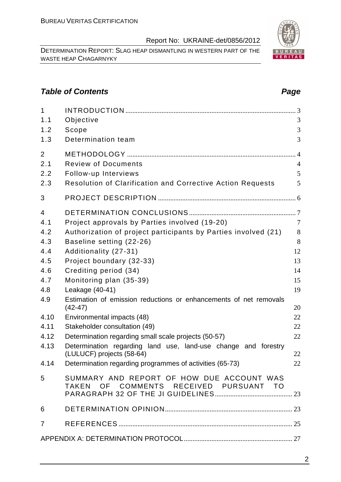DETERMINATION REPORT: SLAG HEAP DISMANTLING IN WESTERN PART OF THE WASTE HEAP CHAGARNYKY

# **Table of Contents Page 2014**

| $\mathbf{1}$<br>1.1<br>1.2 | Objective<br>Scope                                                                    | 3<br>3         |
|----------------------------|---------------------------------------------------------------------------------------|----------------|
| 1.3                        | Determination team                                                                    | 3              |
| $\overline{2}$             |                                                                                       |                |
| 2.1                        | <b>Review of Documents</b>                                                            | $\overline{4}$ |
| 2.2                        | Follow-up Interviews                                                                  | 5              |
| 2.3                        | <b>Resolution of Clarification and Corrective Action Requests</b>                     | 5              |
| 3                          |                                                                                       |                |
| 4                          |                                                                                       |                |
| 4.1                        | Project approvals by Parties involved (19-20)                                         | $\overline{7}$ |
| 4.2                        | Authorization of project participants by Parties involved (21)                        | 8              |
| 4.3                        | Baseline setting (22-26)                                                              | 8              |
| 4.4                        | Additionality (27-31)                                                                 | 12             |
| 4.5                        | Project boundary (32-33)                                                              | 13             |
| 4.6                        | Crediting period (34)                                                                 | 14             |
| 4.7                        | Monitoring plan (35-39)                                                               | 15             |
| 4.8                        | Leakage (40-41)                                                                       | 19             |
| 4.9                        | Estimation of emission reductions or enhancements of net removals<br>$(42 - 47)$      | 20             |
| 4.10                       | Environmental impacts (48)                                                            | 22             |
| 4.11                       | Stakeholder consultation (49)                                                         | 22             |
| 4.12                       | Determination regarding small scale projects (50-57)                                  | 22             |
| 4.13                       | Determination regarding land use, land-use change and forestry                        | 22             |
| 4.14                       | (LULUCF) projects (58-64)<br>Determination regarding programmes of activities (65-73) | 22             |
|                            |                                                                                       |                |
| 5                          | SUMMARY AND REPORT OF HOW DUE ACCOUNT WAS<br>TAKEN OF COMMENTS RECEIVED PURSUANT TO   |                |
| 6                          |                                                                                       |                |
| $\overline{7}$             |                                                                                       |                |
|                            |                                                                                       |                |

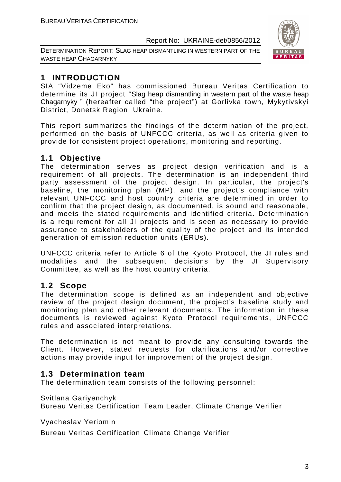DETERMINATION REPORT: SLAG HEAP DISMANTLING IN WESTERN PART OF THE WASTE HEAP CHAGARNYKY



# **1 INTRODUCTION**

SIA "Vidzeme Eko" has commissioned Bureau Veritas Certification to determine its JI project "Slag heap dismantling in western part of the waste heap Chagarnyky " (hereafter called "the project") at Gorlivka town, Mykytivskyi District, Donetsk Region, Ukraine.

This report summarizes the findings of the determination of the project, performed on the basis of UNFCCC criteria, as well as criteria given to provide for consistent project operations, monitoring and reporting.

# **1.1 Objective**

The determination serves as project design verification and is a requirement of all projects. The determination is an independent third party assessment of the project design. In particular, the project's baseline, the monitoring plan (MP), and the project's compliance with relevant UNFCCC and host country criteria are determined in order to confirm that the project design, as documented, is sound and reasonable, and meets the stated requirements and identified criteria. Determination is a requirement for all JI projects and is seen as necessary to provide assurance to stakeholders of the quality of the project and its intended generation of emission reduction units (ERUs).

UNFCCC criteria refer to Article 6 of the Kyoto Protocol, the JI rules and modalities and the subsequent decisions by the JI Supervisory Committee, as well as the host country criteria.

# **1.2 Scope**

The determination scope is defined as an independent and objective review of the project design document, the project's baseline study and monitoring plan and other relevant documents. The information in these documents is reviewed against Kyoto Protocol requirements, UNFCCC rules and associated interpretations.

The determination is not meant to provide any consulting towards the Client. However, stated requests for clarifications and/or corrective actions may provide input for improvement of the project design.

# **1.3 Determination team**

The determination team consists of the following personnel:

Svitlana Gariyenchyk

Bureau Veritas Certification Team Leader, Climate Change Verifier

Vyacheslav Yeriomin

Bureau Veritas Certification Climate Change Verifier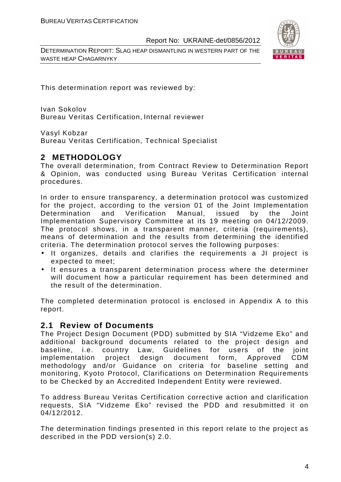DETERMINATION REPORT: SLAG HEAP DISMANTLING IN WESTERN PART OF THE WASTE HEAP CHAGARNYKY



This determination report was reviewed by:

Ivan Sokolov Bureau Veritas Certification, Internal reviewer

Vasyl Kobzar

Bureau Veritas Certification, Technical Specialist

# **2 METHODOLOGY**

The overall determination, from Contract Review to Determination Report & Opinion, was conducted using Bureau Veritas Certification internal procedures.

In order to ensure transparency, a determination protocol was customized for the project, according to the version 01 of the Joint Implementation Determination and Verification Manual, issued by the Joint Implementation Supervisory Committee at its 19 meeting on 04/12/2009. The protocol shows, in a transparent manner, criteria (requirements), means of determination and the results from determining the identified criteria. The determination protocol serves the following purposes:

- It organizes, details and clarifies the requirements a JI project is expected to meet;
- It ensures a transparent determination process where the determiner will document how a particular requirement has been determined and the result of the determination.

The completed determination protocol is enclosed in Appendix A to this report.

# **2.1 Review of Documents**

The Project Design Document (PDD) submitted by SIA "Vidzeme Eko" and additional background documents related to the project design and baseline, i.e. country Law, Guidelines for users of the joint implementation project design document form, Approved CDM methodology and/or Guidance on criteria for baseline setting and monitoring, Kyoto Protocol, Clarifications on Determination Requirements to be Checked by an Accredited Independent Entity were reviewed.

To address Bureau Veritas Certification corrective action and clarification requests, SIA "Vidzeme Eko" revised the PDD and resubmitted it on 04/12/2012.

The determination findings presented in this report relate to the project as described in the PDD version(s) 2.0.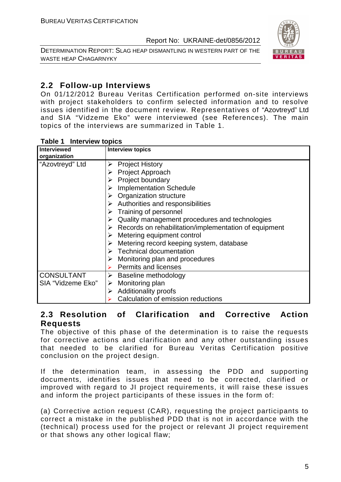DETERMINATION REPORT: SLAG HEAP DISMANTLING IN WESTERN PART OF THE WASTE HEAP CHAGARNYKY



# **2.2 Follow-up Interviews**

On 01/12/2012 Bureau Veritas Certification performed on-site interviews with project stakeholders to confirm selected information and to resolve issues identified in the document review. Representatives of "Azovtreyd" Ltd and SIA "Vidzeme Eko" were interviewed (see References). The main topics of the interviews are summarized in Table 1.

| <b>Interviewed</b><br>organization | <b>Interview topics</b>                                                |
|------------------------------------|------------------------------------------------------------------------|
| "Azovtreyd" Ltd                    | <b>Project History</b><br>➤                                            |
|                                    | Project Approach<br>➤                                                  |
|                                    | Project boundary<br>➤                                                  |
|                                    | <b>Implementation Schedule</b>                                         |
|                                    | $\triangleright$ Organization structure                                |
|                                    | Authorities and responsibilities<br>➤                                  |
|                                    | $\triangleright$ Training of personnel                                 |
|                                    | Quality management procedures and technologies<br>➤                    |
|                                    | $\triangleright$ Records on rehabilitation/implementation of equipment |
|                                    | Metering equipment control                                             |
|                                    | Metering record keeping system, database<br>➤                          |
|                                    | $\triangleright$ Technical documentation                               |
|                                    | Monitoring plan and procedures<br>➤                                    |
|                                    | <b>Permits and licenses</b>                                            |
| <b>CONSULTANT</b>                  | $\triangleright$ Baseline methodology                                  |
| SIA "Vidzeme Eko"                  | Monitoring plan<br>➤                                                   |
|                                    | <b>Additionality proofs</b><br>➤                                       |
|                                    | Calculation of emission reductions                                     |

#### **Table 1 Interview topics**

# **2.3 Resolution of Clarification and Corrective Action Requests**

The objective of this phase of the determination is to raise the requests for corrective actions and clarification and any other outstanding issues that needed to be clarified for Bureau Veritas Certification positive conclusion on the project design.

If the determination team, in assessing the PDD and supporting documents, identifies issues that need to be corrected, clarified or improved with regard to JI project requirements, it will raise these issues and inform the project participants of these issues in the form of:

(a) Corrective action request (CAR), requesting the project participants to correct a mistake in the published PDD that is not in accordance with the (technical) process used for the project or relevant JI project requirement or that shows any other logical flaw;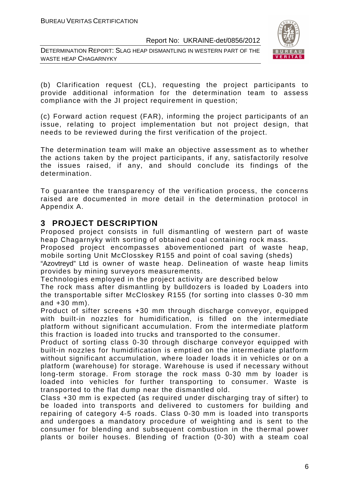DETERMINATION REPORT: SLAG HEAP DISMANTLING IN WESTERN PART OF THE WASTE HEAP CHAGARNYKY



(b) Clarification request (CL), requesting the project participants to provide additional information for the determination team to assess compliance with the JI project requirement in question;

(c) Forward action request (FAR), informing the project participants of an issue, relating to project implementation but not project design, that needs to be reviewed during the first verification of the project.

The determination team will make an objective assessment as to whether the actions taken by the project participants, if any, satisfactorily resolve the issues raised, if any, and should conclude its findings of the determination.

To guarantee the transparency of the verification process, the concerns raised are documented in more detail in the determination protocol in Appendix A.

# **3 PROJECT DESCRIPTION**

Proposed project consists in full dismantling of western part of waste heap Chagarnyky with sorting of obtained coal containing rock mass.

Proposed project encompasses abovementioned part of waste heap, mobile sorting Unit McClosskey R155 and point of coal saving (sheds)

"Azovtreyd" Ltd is owner of waste heap. Delineation of waste heap limits provides by mining surveyors measurements.

Technologies employed in the project activity are described below

The rock mass after dismantling by bulldozers is loaded by Loaders into the transportable sifter McCloskey R155 (for sorting into classes 0-30 mm and +30 mm).

Product of sifter screens +30 mm through discharge conveyor, equipped with built-in nozzles for humidification, is filled on the intermediate platform without significant accumulation. From the intermediate platform this fraction is loaded into trucks and transported to the consumer.

Product of sorting class 0-30 through discharge conveyor equipped with built-in nozzles for humidification is emptied on the intermediate platform without significant accumulation, where loader loads it in vehicles or on a platform (warehouse) for storage. Warehouse is used if necessary without long-term storage. From storage the rock mass 0-30 mm by loader is loaded into vehicles for further transporting to consumer. Waste is transported to the flat dump near the dismantled old.

Class +30 mm is expected (as required under discharging tray of sifter) to be loaded into transports and delivered to customers for building and repairing of category 4-5 roads. Class 0-30 mm is loaded into transports and undergoes a mandatory procedure of weighting and is sent to the consumer for blending and subsequent combustion in the thermal power plants or boiler houses. Blending of fraction (0-30) with a steam coal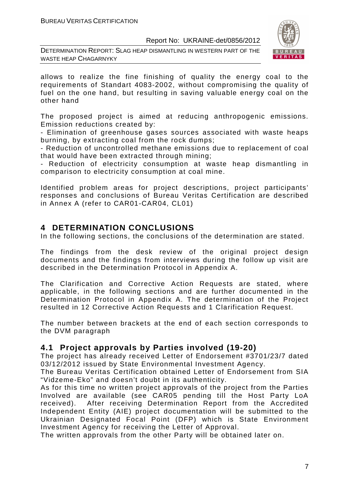DETERMINATION REPORT: SLAG HEAP DISMANTLING IN WESTERN PART OF THE WASTE HEAP CHAGARNYKY



allows to realize the fine finishing of quality the energy coal to the requirements of Standart 4083-2002, without compromising the quality of fuel on the one hand, but resulting in saving valuable energy coal on the other hand

The proposed project is aimed at reducing anthropogenic emissions. Emission reductions created by:

- Elimination of greenhouse gases sources associated with waste heaps burning, by extracting coal from the rock dumps;

- Reduction of uncontrolled methane emissions due to replacement of coal that would have been extracted through mining;

- Reduction of electricity consumption at waste heap dismantling in comparison to electricity consumption at coal mine.

Identified problem areas for project descriptions, project participants' responses and conclusions of Bureau Veritas Certification are described in Annex A (refer to CAR01-CAR04, CL01)

# **4 DETERMINATION CONCLUSIONS**

In the following sections, the conclusions of the determination are stated.

The findings from the desk review of the original project design documents and the findings from interviews during the follow up visit are described in the Determination Protocol in Appendix A.

The Clarification and Corrective Action Requests are stated, where applicable, in the following sections and are further documented in the Determination Protocol in Appendix A. The determination of the Project resulted in 12 Corrective Action Requests and 1 Clarification Request.

The number between brackets at the end of each section corresponds to the DVM paragraph

# **4.1 Project approvals by Parties involved (19-20)**

The project has already received Letter of Endorsement #3701/23/7 dated 03/12/2012 issued by State Environmental Investment Agency.

The Bureau Veritas Certification obtained Letter of Endorsement from SIA "Vidzeme-Eko" and doesn't doubt in its authenticity.

As for this time no written project approvals of the project from the Parties Involved are available (see CAR05 pending till the Host Party LoA received). After receiving Determination Report from the Accredited Independent Entity (AIE) project documentation will be submitted to the Ukrainian Designated Focal Point (DFP) which is State Environment Investment Agency for receiving the Letter of Approval.

The written approvals from the other Party will be obtained later on.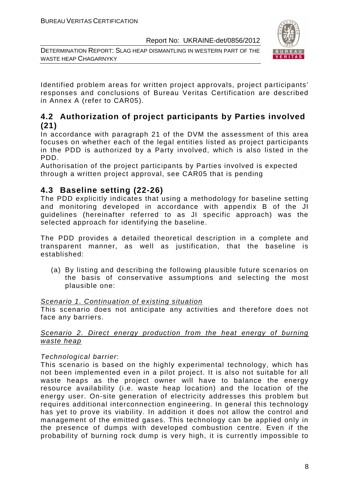DETERMINATION REPORT: SLAG HEAP DISMANTLING IN WESTERN PART OF THE WASTE HEAP CHAGARNYKY



Identified problem areas for written project approvals, project participants' responses and conclusions of Bureau Veritas Certification are described in Annex A (refer to CAR05).

# **4.2 Authorization of project participants by Parties involved (21)**

In accordance with paragraph 21 of the DVM the assessment of this area focuses on whether each of the legal entities listed as project participants in the PDD is authorized by a Party involved, which is also listed in the PDD.

Authorisation of the project participants by Parties involved is expected through a written project approval, see CAR05 that is pending

# **4.3 Baseline setting (22-26)**

The PDD explicitly indicates that using a methodology for baseline setting and monitoring developed in accordance with appendix B of the JI guidelines (hereinafter referred to as JI specific approach) was the selected approach for identifying the baseline.

The PDD provides a detailed theoretical description in a complete and transparent manner, as well as justification, that the baseline is established:

(a) By listing and describing the following plausible future scenarios on the basis of conservative assumptions and selecting the most plausible one:

# Scenario 1. Continuation of existing situation

This scenario does not anticipate any activities and therefore does not face any barriers.

# Scenario 2. Direct energy production from the heat energy of burning waste heap

# Technological barrier:

This scenario is based on the highly experimental technology, which has not been implemented even in a pilot project. It is also not suitable for all waste heaps as the project owner will have to balance the energy resource availability (i.e. waste heap location) and the location of the energy user. On-site generation of electricity addresses this problem but requires additional interconnection engineering. In general this technology has yet to prove its viability. In addition it does not allow the control and management of the emitted gases. This technology can be applied only in the presence of dumps with developed combustion centre. Even if the probability of burning rock dump is very high, it is currently impossible to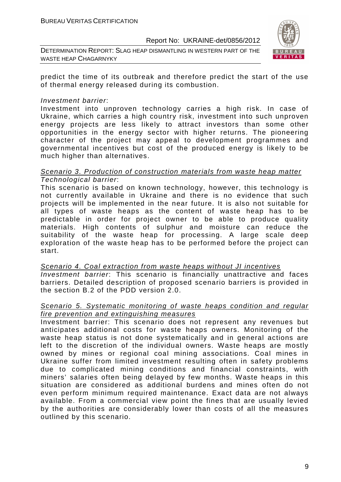DETERMINATION REPORT: SLAG HEAP DISMANTLING IN WESTERN PART OF THE WASTE HEAP CHAGARNYKY



predict the time of its outbreak and therefore predict the start of the use of thermal energy released during its combustion.

#### Investment barrier:

Investment into unproven technology carries a high risk. In case of Ukraine, which carries a high country risk, investment into such unproven energy projects are less likely to attract investors than some other opportunities in the energy sector with higher returns. The pioneering character of the project may appeal to development programmes and governmental incentives but cost of the produced energy is likely to be much higher than alternatives.

#### Scenario 3. Production of construction materials from waste heap matter Technological barrier:

This scenario is based on known technology, however, this technology is not currently available in Ukraine and there is no evidence that such projects will be implemented in the near future. It is also not suitable for all types of waste heaps as the content of waste heap has to be predictable in order for project owner to be able to produce quality materials. High contents of sulphur and moisture can reduce the suitability of the waste heap for processing. A large scale deep exploration of the waste heap has to be performed before the project can start.

Scenario 4. Coal extraction from waste heaps without JI incentives Investment barrier: This scenario is financially unattractive and faces barriers. Detailed description of proposed scenario barriers is provided in the section B.2 of the PDD version 2.0.

#### Scenario 5. Systematic monitoring of waste heaps condition and regular fire prevention and extinguishing measures

Investment barrier: This scenario does not represent any revenues but anticipates additional costs for waste heaps owners. Monitoring of the waste heap status is not done systematically and in general actions are left to the discretion of the individual owners. Waste heaps are mostly owned by mines or regional coal mining associations. Coal mines in Ukraine suffer from limited investment resulting often in safety problems due to complicated mining conditions and financial constraints, with miners' salaries often being delayed by few months. Waste heaps in this situation are considered as additional burdens and mines often do not even perform minimum required maintenance. Exact data are not always available. From a commercial view point the fines that are usually levied by the authorities are considerably lower than costs of all the measures outlined by this scenario.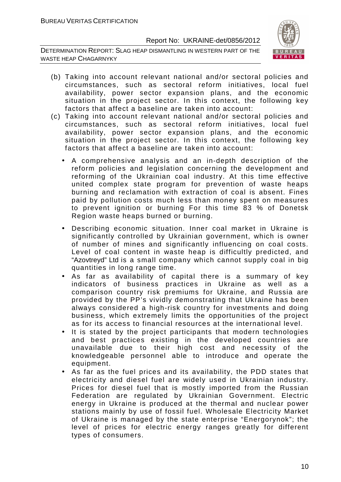DETERMINATION REPORT: SLAG HEAP DISMANTLING IN WESTERN PART OF THE WASTE HEAP CHAGARNYKY



- (b) Taking into account relevant national and/or sectoral policies and circumstances, such as sectoral reform initiatives, local fuel availability, power sector expansion plans, and the economic situation in the project sector. In this context, the following key factors that affect a baseline are taken into account:
- (c) Taking into account relevant national and/or sectoral policies and circumstances, such as sectoral reform initiatives, local fuel availability, power sector expansion plans, and the economic situation in the project sector. In this context, the following key factors that affect a baseline are taken into account:
	- A comprehensive analysis and an in-depth description of the reform policies and legislation concerning the development and reforming of the Ukrainian coal industry. At this time effective united complex state program for prevention of waste heaps burning and reclamation with extraction of coal is absent. Fines paid by pollution costs much less than money spent on measures to prevent ignition or burning For this time 83 % of Donetsk Region waste heaps burned or burning.
	- Describing economic situation. Inner coal market in Ukraine is significantly controlled by Ukrainian government, which is owner of number of mines and significantly influencing on coal costs. Level of coal content in waste heap is difficultly predicted, and "Azovtreyd" Ltd is a small company which cannot supply coal in big quantities in long range time.
	- As far as availability of capital there is a summary of key indicators of business practices in Ukraine as well as a comparison country risk premiums for Ukraine, and Russia are provided by the PP's vividly demonstrating that Ukraine has been always considered a high-risk country for investments and doing business, which extremely limits the opportunities of the project as for its access to financial resources at the international level.
	- It is stated by the project participants that modern technologies and best practices existing in the developed countries are unavailable due to their high cost and necessity of the knowledgeable personnel able to introduce and operate the equipment.
	- As far as the fuel prices and its availability, the PDD states that electricity and diesel fuel are widely used in Ukrainian industry. Prices for diesel fuel that is mostly imported from the Russian Federation are regulated by Ukrainian Government. Electric energy in Ukraine is produced at the thermal and nuclear power stations mainly by use of fossil fuel. Wholesale Electricity Market of Ukraine is managed by the state enterprise "Energorynok"; the level of prices for electric energy ranges greatly for different types of consumers.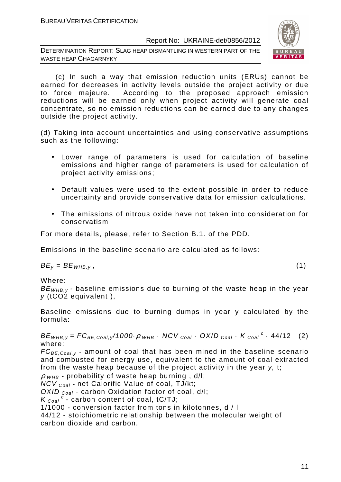DETERMINATION REPORT: SLAG HEAP DISMANTLING IN WESTERN PART OF THE WASTE HEAP CHAGARNYKY



 (c) In such a way that emission reduction units (ERUs) cannot be earned for decreases in activity levels outside the project activity or due to force majeure. According to the proposed approach emission reductions will be earned only when project activity will generate coal concentrate, so no emission reductions can be earned due to any changes outside the project activity.

(d) Taking into account uncertainties and using conservative assumptions such as the following:

- Lower range of parameters is used for calculation of baseline emissions and higher range of parameters is used for calculation of project activity emissions;
- Default values were used to the extent possible in order to reduce uncertainty and provide conservative data for emission calculations.
- The emissions of nitrous oxide have not taken into consideration for conservatism

For more details, please, refer to Section B.1. of the PDD.

Emissions in the baseline scenario are calculated as follows:

 $BE_v = BE_{WHB,v}$ , (1)

Where:

 $BE<sub>WHB,V</sub>$  - baseline emissions due to burning of the waste heap in the year y (tCO2 equivalent ),

Baseline emissions due to burning dumps in year y calculated by the formula:

 $BE_{WHB,y} = FC_{BE,Coal,y}/1000 \cdot \rho$  whb  $\cdot$  NCV  $_{Coal} \cdot$  OXID  $_{Coal} \cdot K_{Coal}^c \cdot 44/12$  (2) where:

 $FC_{BE, coal,v}$  - amount of coal that has been mined in the baseline scenario and combusted for energy use, equivalent to the amount of coal extracted from the waste heap because of the project activity in the year y, t;

 $\rho$  <sub>WHB</sub> - probability of waste heap burning, d/l;

 $NCV_{Coal}$  - net Calorific Value of coal, TJ/kt;

OXID  $_{Coal}$  - carbon Oxidation factor of coal, d/l;

 $K_{\text{Coal}}^c$  - carbon content of coal, tC/TJ;

1/1000 - conversion factor from tons in kilotonnes, d / l

44/12 - stoichiometric relationship between the molecular weight of carbon dioxide and carbon.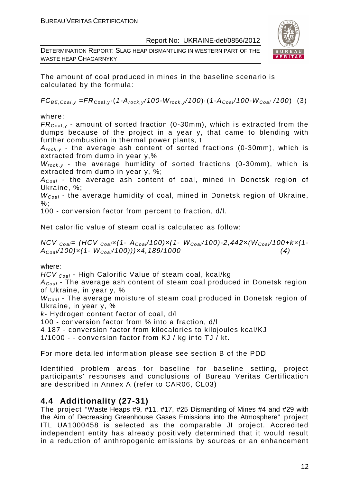DETERMINATION REPORT: SLAG HEAP DISMANTLING IN WESTERN PART OF THE WASTE HEAP CHAGARNYKY



The amount of coal produced in mines in the baseline scenario is calculated by the formula:

 $FC_{BE,Coal,v} = FR_{Coal,v} (1-A_{rock,v}/100-W_{rock,v}/100) (1-A_{Coal}/100-W_{Coal}/100)$  (3)

where:

 $FR_{\text{Coal,v}}$  - amount of sorted fraction (0-30mm), which is extracted from the dumps because of the project in a year y, that came to blending with further combustion in thermal power plants, t;

 $A_{rock, v}$  - the average ash content of sorted fractions (0-30mm), which is extracted from dump in year y,%

 $W_{rock, v}$  - the average humidity of sorted fractions (0-30mm), which is extracted from dump in year y, %;

 $A_{Coal}$  - the average ash content of coal, mined in Donetsk region of Ukraine, %;

 $W_{Coal}$  - the average humidity of coal, mined in Donetsk region of Ukraine,  $%$ :

100 - conversion factor from percent to fraction, d/l.

Net calorific value of steam coal is calculated as follow:

NCV  $_{Coal}$ = (HCV  $_{Coal}$ x(1- A<sub>Coal</sub>/100)x(1- W<sub>Coal</sub>/100)-2,442x(W<sub>Coal</sub>/100+kx(1- $A_{Coal}/100) \times (1-W_{Coal}/100)) \times 4,189/1000$  (4)

# where:

HCV <sub>Coal</sub> - High Calorific Value of steam coal, kcal/kq

 $A_{Coal}$  - The average ash content of steam coal produced in Donetsk region of Ukraine, in year y, %

 $W_{Coal}$  - The average moisture of steam coal produced in Donetsk region of Ukraine, in year y, %

k- Hydrogen content factor of coal, d/l

100 - conversion factor from % into a fraction, d/l

4.187 - conversion factor from kilocalories to kilojoules kcal/KJ

1/1000 - - conversion factor from KJ / kg into TJ / kt.

For more detailed information please see section B of the PDD

Identified problem areas for baseline for baseline setting, project participants' responses and conclusions of Bureau Veritas Certification are described in Annex A (refer to CAR06, СL03)

# **4.4 Additionality (27-31)**

The project "Waste Heaps #9, #11, #17, #25 Dismantling of Mines #4 and #29 with the Aim of Decreasing Greenhouse Gases Emissions into the Atmosphere" project ITL UA1000458 is selected as the comparable JI project. Accredited independent entity has already positively determined that it would result in a reduction of anthropogenic emissions by sources or an enhancement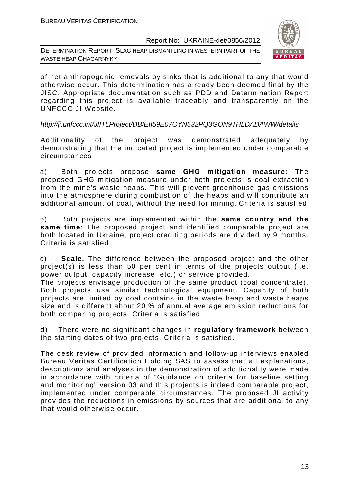DETERMINATION REPORT: SLAG HEAP DISMANTLING IN WESTERN PART OF THE WASTE HEAP CHAGARNYKY



of net anthropogenic removals by sinks that is additional to any that would otherwise occur. This determination has already been deemed final by the JISC. Appropriate documentation such as PDD and Determination Report regarding this project is available traceably and transparently on the UNFCCC JI Website.

#### http://ji.unfccc.int/JIITLProject/DB/EII59E07OYN532PQ3GON9THLDADAWW/details

Additionality of the project was demonstrated adequately by demonstrating that the indicated project is implemented under comparable circumstances:

a) Both projects propose **same GHG mitigation measure:** The proposed GHG mitigation measure under both projects is coal extraction from the mine's waste heaps. This will prevent greenhouse gas emissions into the atmosphere during combustion of the heaps and will contribute an additional amount of coal, without the need for mining. Criteria is satisfied

b) Both projects are implemented within the **same country and the same time**: The proposed project and identified comparable project are both located in Ukraine, project crediting periods are divided by 9 months. Criteria is satisfied

c) **Scale.** The difference between the proposed project and the other project(s) is less than 50 per cent in terms of the projects output (i.e. power output, capacity increase, etc.) or service provided.

The projects envisage production of the same product (coal concentrate). Both projects use similar technological equipment. Capacity of both projects are limited by coal contains in the waste heap and waste heaps size and is different about 20 % of annual average emission reductions for both comparing projects. Criteria is satisfied

d) There were no significant changes in **regulatory framework** between the starting dates of two projects. Criteria is satisfied.

The desk review of provided information and follow-up interviews enabled Bureau Veritas Certification Holding SAS to assess that all explanations, descriptions and analyses in the demonstration of additionality were made in accordance with criteria of "Guidance on criteria for baseline setting and monitoring" version 03 and this projects is indeed comparable project, implemented under comparable circumstances. The proposed JI activity provides the reductions in emissions by sources that are additional to any that would otherwise occur.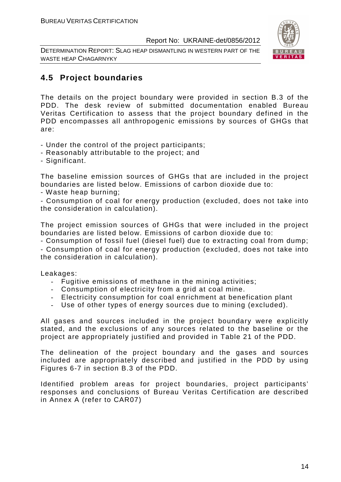DETERMINATION REPORT: SLAG HEAP DISMANTLING IN WESTERN PART OF THE WASTE HEAP CHAGARNYKY



# **4.5 Project boundaries**

The details on the project boundary were provided in section B.3 of the PDD. The desk review of submitted documentation enabled Bureau Veritas Certification to assess that the project boundary defined in the PDD encompasses all anthropogenic emissions by sources of GHGs that are:

- Under the control of the project participants;
- Reasonably attributable to the project; and
- Significant.

The baseline emission sources of GHGs that are included in the project boundaries are listed below. Emissions of carbon dioxide due to:

- Waste heap burning;

- Consumption of coal for energy production (excluded, does not take into the consideration in calculation).

The project emission sources of GHGs that were included in the project boundaries are listed below. Emissions of carbon dioxide due to:

- Consumption of fossil fuel (diesel fuel) due to extracting coal from dump; - Consumption of coal for energy production (excluded, does not take into the consideration in calculation).

Leakages:

- Fugitive emissions of methane in the mining activities;
- Consumption of electricity from a grid at coal mine.
- Electricity consumption for coal enrichment at benefication plant
- Use of other types of energy sources due to mining (excluded).

All gases and sources included in the project boundary were explicitly stated, and the exclusions of any sources related to the baseline or the project are appropriately justified and provided in Table 21 of the PDD.

The delineation of the project boundary and the gases and sources included are appropriately described and justified in the PDD by using Figures 6-7 in section B.3 of the PDD.

Identified problem areas for project boundaries, project participants' responses and conclusions of Bureau Veritas Certification are described in Annex A (refer to CAR07)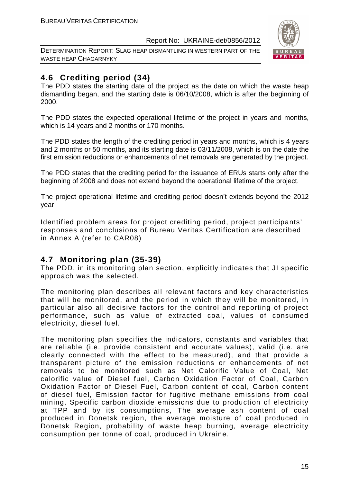DETERMINATION REPORT: SLAG HEAP DISMANTLING IN WESTERN PART OF THE WASTE HEAP CHAGARNYKY



# **4.6 Crediting period (34)**

The PDD states the starting date of the project as the date on which the waste heap dismantling began, and the starting date is 06/10/2008, which is after the beginning of 2000.

The PDD states the expected operational lifetime of the project in years and months, which is 14 years and 2 months or 170 months.

The PDD states the length of the crediting period in years and months, which is 4 years and 2 months or 50 months, and its starting date is 03/11/2008, which is on the date the first emission reductions or enhancements of net removals are generated by the project.

The PDD states that the crediting period for the issuance of ERUs starts only after the beginning of 2008 and does not extend beyond the operational lifetime of the project.

The project operational lifetime and crediting period doesn't extends beyond the 2012 year

Identified problem areas for project crediting period, project participants' responses and conclusions of Bureau Veritas Certification are described in Annex A (refer to CAR08)

# **4.7 Monitoring plan (35-39)**

The PDD, in its monitoring plan section, explicitly indicates that JI specific approach was the selected.

The monitoring plan describes all relevant factors and key characteristics that will be monitored, and the period in which they will be monitored, in particular also all decisive factors for the control and reporting of project performance, such as value of extracted coal, values of consumed electricity, diesel fuel.

The monitoring plan specifies the indicators, constants and variables that are reliable (i.e. provide consistent and accurate values), valid (i.e. are clearly connected with the effect to be measured), and that provide a transparent picture of the emission reductions or enhancements of net removals to be monitored such as Net Calorific Value of Coal, Net calorific value of Diesel fuel, Carbon Oxidation Factor of Coal, Carbon Oxidation Factor of Diesel Fuel, Carbon content of coal, Carbon content of diesel fuel, Emission factor for fugitive methane emissions from coal mining, Specific carbon dioxide emissions due to production of electricity at TPP and by its consumptions, The average ash content of coal produced in Donetsk region, the average moisture of coal produced in Donetsk Region, probability of waste heap burning, average electricity consumption per tonne of coal, produced in Ukraine.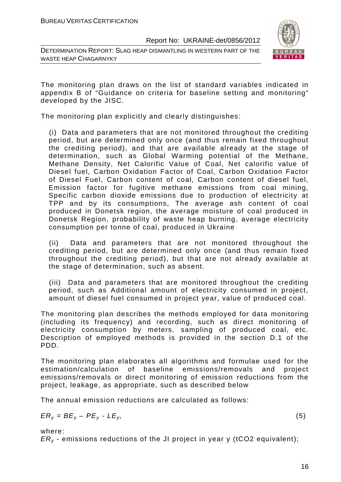DETERMINATION REPORT: SLAG HEAP DISMANTLING IN WESTERN PART OF THE WASTE HEAP CHAGARNYKY



The monitoring plan draws on the list of standard variables indicated in appendix B of "Guidance on criteria for baseline setting and monitoring" developed by the JISC.

The monitoring plan explicitly and clearly distinguishes:

(i) Data and parameters that are not monitored throughout the crediting period, but are determined only once (and thus remain fixed throughout the crediting period), and that are available already at the stage of determination, such as Global Warming potential of the Methane, Methane Density, Net Calorific Value of Coal, Net calorific value of Diesel fuel, Carbon Oxidation Factor of Coal, Carbon Oxidation Factor of Diesel Fuel, Carbon content of coal, Carbon content of diesel fuel, Emission factor for fugitive methane emissions from coal mining, Specific carbon dioxide emissions due to production of electricity at TPP and by its consumptions, The average ash content of coal produced in Donetsk region, the average moisture of coal produced in Donetsk Region, probability of waste heap burning, average electricity consumption per tonne of coal, produced in Ukraine

(ii) Data and parameters that are not monitored throughout the crediting period, but are determined only once (and thus remain fixed throughout the crediting period), but that are not already available at the stage of determination, such as absent.

(iii) Data and parameters that are monitored throughout the crediting period, such as Additional amount of electricity consumed in project, amount of diesel fuel consumed in project year, value of produced coal.

The monitoring plan describes the methods employed for data monitoring (including its frequency) and recording, such as direct monitoring of electricity consumption by meters, sampling of produced coal, etc. Description of employed methods is provided in the section D.1 of the PDD.

The monitoring plan elaborates all algorithms and formulae used for the estimation/calculation of baseline emissions/removals and project emissions/removals or direct monitoring of emission reductions from the project, leakage, as appropriate, such as described below

The annual emission reductions are calculated as follows:

$$
ER_y = BE_y - PE_y - LE_y, \tag{5}
$$

where:

 $ER<sub>v</sub>$  - emissions reductions of the JI project in year y (tCO2 equivalent);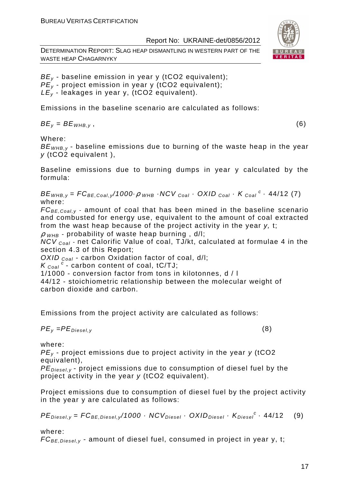DETERMINATION REPORT: SLAG HEAP DISMANTLING IN WESTERN PART OF THE WASTE HEAP CHAGARNYKY



 $BE<sub>v</sub>$  - baseline emission in year y (tCO2 equivalent);  $PE_{y}$  - project emission in year y (tCO2 equivalent);  $LE<sub>v</sub>$  - leakages in year y, (tCO2 equivalent).

Emissions in the baseline scenario are calculated as follows:

 $BE_v = BE_{WHB.v}$ , (6)

Where:

 $BE<sub>WHB-V</sub>$  - baseline emissions due to burning of the waste heap in the year y (tCO2 equivalent ),

Baseline emissions due to burning dumps in year y calculated by the formula:

 $BE_{WHB,y} = FC_{BE,Coal,y}$ /1000 $\cdot \rho$   $_{WHB}$   $\cdot$  NCV  $_{Coal}$   $\cdot$  OXID  $_{Coal}$   $\cdot$  K  $_{Coal}$   $\cdot$  44/12 (7) where:

 $FC_{BE,Coal,v}$  - amount of coal that has been mined in the baseline scenario and combusted for energy use, equivalent to the amount of coal extracted from the wast heap because of the project activity in the year y, t;

 $\rho$  <sub>WHB</sub> - probability of waste heap burning, d/l;

NCV  $_{coal}$  - net Calorific Value of coal, TJ/kt, calculated at formulae 4 in the section 4.3 of this Report;

OXID  $_{Coal}$  - carbon Oxidation factor of coal, d/l;

 $K_{\text{Coal}}^c$  - carbon content of coal, tC/TJ;

1/1000 - conversion factor from tons in kilotonnes, d / l

44/12 - stoichiometric relationship between the molecular weight of carbon dioxide and carbon.

Emissions from the project activity are calculated as follows:

$$
PE_{y} = PE_{Diesel,y} \tag{8}
$$

where:

 $PE<sub>v</sub>$  - project emissions due to project activity in the year y (tCO2 equivalent),

 $PE_{\text{Diegley}}$  - project emissions due to consumption of diesel fuel by the project activity in the year y (tCO2 equivalent).

Project emissions due to consumption of diesel fuel by the project activity in the year y are calculated as follows:

 $PE_{\text{Diesel}, y} = FC_{BE, \text{Diesel}, y} / 1000 \cdot NCV_{\text{Diesel}} \cdot OXID_{\text{Diesel}} \cdot K_{\text{Diesel}}^c \cdot 44 / 12$  (9)

where:

 $FC_{BE, Diesel, v}$  - amount of diesel fuel, consumed in project in year y, t;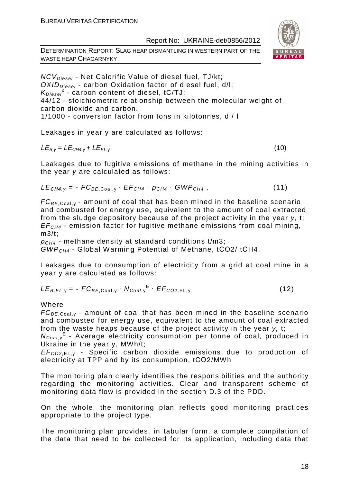DETERMINATION REPORT: SLAG HEAP DISMANTLING IN WESTERN PART OF THE WASTE HEAP CHAGARNYKY



 $NCV<sub>Diesel</sub>$  - Net Calorific Value of diesel fuel, TJ/kt;  $OXID<sub>Diesel</sub>$  - carbon Oxidation factor of diesel fuel, d/l;  $K_{Diesel}^c$  - carbon content of diesel, tC/TJ; 44/12 - stoichiometric relationship between the molecular weight of carbon dioxide and carbon. 1/1000 - conversion factor from tons in kilotonnes, d / l

Leakages in year y are calculated as follows:

$$
LE_{B,y} = LE_{CH4,y} + LE_{EL,y}
$$
 (10)

Leakages due to fugitive emissions of methane in the mining activities in the year y are calculated as follows:

$$
LE_{\text{CH4},y} = -FC_{BE, \text{Coal},y} \cdot EF_{\text{CH4}} \cdot \rho_{\text{CH4}} \cdot GWP_{\text{CH4}}, \qquad (11)
$$

 $FC_{BE, coal,v}$  - amount of coal that has been mined in the baseline scenario and combusted for energy use, equivalent to the amount of coal extracted from the sludge depository because of the project activity in the year y, t;  $EF<sub>CH4</sub>$  - emission factor for fugitive methane emissions from coal mining, m3/t;

 $ρ<sub>CH4</sub>$  - methane density at standard conditions t/m3; GWPCH4 - Global Warming Potential of Methane, tСО2/ tСН4.

Leakages due to consumption of electricity from a grid at coal mine in a year y are calculated as follows:

$$
LE_{B,EL,y} = -FC_{BE,Coal,y} \cdot N_{Coal,y}^{E} \cdot EF_{CO2,EL,y}
$$
 (12)

#### Where

 $FC_{BE, coal,v}$  - amount of coal that has been mined in the baseline scenario and combusted for energy use, equivalent to the amount of coal extracted from the waste heaps because of the project activity in the year y, t;

N<sub>Coal,y</sub><sup>E</sup> - Average electricity consumption per tonne of coal, produced in Ukraine in the year y, MWh/t;

EF<sup>C</sup>*О*2,EL, <sup>у</sup> - Specific carbon dioxide emissions due to production of electricity at TPP and by its consumption, tСО2/MWh

The monitoring plan clearly identifies the responsibilities and the authority regarding the monitoring activities. Clear and transparent scheme of monitoring data flow is provided in the section D.3 of the PDD.

On the whole, the monitoring plan reflects good monitoring practices appropriate to the project type.

The monitoring plan provides, in tabular form, a complete compilation of the data that need to be collected for its application, including data that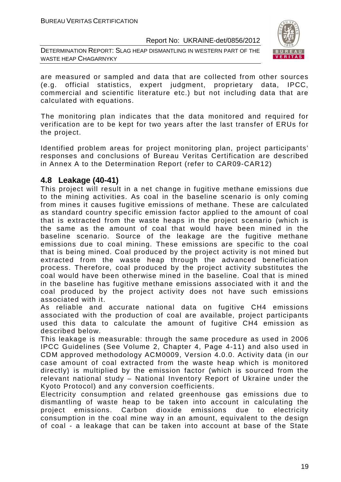DETERMINATION REPORT: SLAG HEAP DISMANTLING IN WESTERN PART OF THE WASTE HEAP CHAGARNYKY



are measured or sampled and data that are collected from other sources (e.g. official statistics, expert judgment, proprietary data, IPCC, commercial and scientific literature etc.) but not including data that are calculated with equations.

The monitoring plan indicates that the data monitored and required for verification are to be kept for two years after the last transfer of ERUs for the project.

Identified problem areas for project monitoring plan, project participants' responses and conclusions of Bureau Veritas Certification are described in Annex A to the Determination Report (refer to CAR09-CAR12)

# **4.8 Leakage (40-41)**

This project will result in a net change in fugitive methane emissions due to the mining activities. As coal in the baseline scenario is only coming from mines it causes fugitive emissions of methane. These are calculated as standard country specific emission factor applied to the amount of coal that is extracted from the waste heaps in the project scenario (which is the same as the amount of coal that would have been mined in the baseline scenario. Source of the leakage are the fugitive methane emissions due to coal mining. These emissions are specific to the coal that is being mined. Coal produced by the project activity is not mined but extracted from the waste heap through the advanced beneficiation process. Therefore, coal produced by the project activity substitutes the coal would have been otherwise mined in the baseline. Coal that is mined in the baseline has fugitive methane emissions associated with it and the coal produced by the project activity does not have such emissions associated with it.

As reliable and accurate national data on fugitive CH4 emissions associated with the production of coal are available, project participants used this data to calculate the amount of fugitive CH4 emission as described below.

This leakage is measurable: through the same procedure as used in 2006 IPCC Guidelines (See Volume 2, Chapter 4, Page 4-11) and also used in CDM approved methodology ACM0009, Version 4.0.0. Activity data (in our case amount of coal extracted from the waste heap which is monitored directly) is multiplied by the emission factor (which is sourced from the relevant national study – National Inventory Report of Ukraine under the Kyoto Protocol) and any conversion coefficients.

Electricity consumption and related greenhouse gas emissions due to dismantling of waste heap to be taken into account in calculating the project emissions. Carbon dioxide emissions due to electricity consumption in the coal mine way in an amount, equivalent to the design of coal - a leakage that can be taken into account at base of the State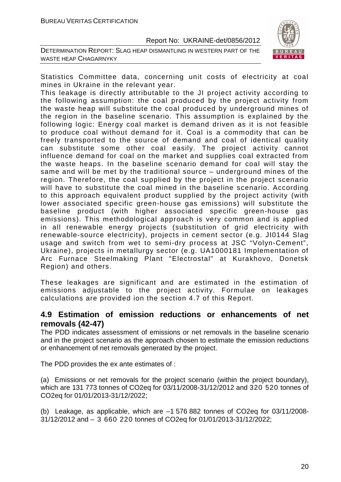DETERMINATION REPORT: SLAG HEAP DISMANTLING IN WESTERN PART OF THE WASTE HEAP CHAGARNYKY



Statistics Committee data, concerning unit costs of electricity at coal mines in Ukraine in the relevant year.

This leakage is directly attributable to the JI project activity according to the following assumption: the coal produced by the project activity from the waste heap will substitute the coal produced by underground mines of the region in the baseline scenario. This assumption is explained by the following logic: Energy coal market is demand driven as it is not feasible to produce coal without demand for it. Coal is a commodity that can be freely transported to the source of demand and coal of identical quality can substitute some other coal easily. The project activity cannot influence demand for coal on the market and supplies coal extracted from the waste heaps. In the baseline scenario demand for coal will stay the same and will be met by the traditional source – underground mines of the region. Therefore, the coal supplied by the project in the project scenario will have to substitute the coal mined in the baseline scenario. According to this approach equivalent product supplied by the project activity (with lower associated specific green-house gas emissions) will substitute the baseline product (with higher associated specific green-house gas emissions). This methodological approach is very common and is applied in all renewable energy projects (substitution of grid electricity with renewable-source electricity), projects in cement sector (e.g. JI0144 Slag usage and switch from wet to semi-dry process at JSC "Volyn-Cement", Ukraine), projects in metallurgy sector (e.g. UA1000181 Implementation of Arc Furnace Steelmaking Plant "Electrostal" at Kurakhovo, Donetsk Region) and others.

These leakages are significant and are estimated in the estimation of emissions adjustable to the project activity. Formulae on leakages calculations are provided ion the section 4.7 of this Report.

# **4.9 Estimation of emission reductions or enhancements of net removals (42-47)**

The PDD indicates assessment of emissions or net removals in the baseline scenario and in the project scenario as the approach chosen to estimate the emission reductions or enhancement of net removals generated by the project.

The PDD provides the ex ante estimates of :

(a) Emissions or net removals for the project scenario (within the project boundary), which are 131 773 tonnes of CO2eq for 03/11/2008-31/12/2012 and 320 520 tonnes of CO2eq for 01/01/2013-31/12/2022;

(b) Leakage, as applicable, which are –1 576 882 tonnes of CO2eq for 03/11/2008- 31/12/2012 and – 3 660 220 tonnes of CO2eq for 01/01/2013-31/12/2022;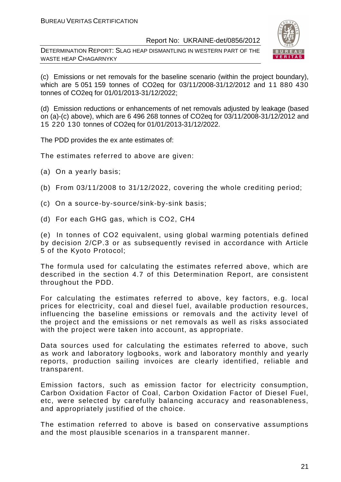DETERMINATION REPORT: SLAG HEAP DISMANTLING IN WESTERN PART OF THE WASTE HEAP CHAGARNYKY



(c) Emissions or net removals for the baseline scenario (within the project boundary), which are 5 051 159 tonnes of CO2eq for 03/11/2008-31/12/2012 and 11 880 430 tonnes of CO2eq for 01/01/2013-31/12/2022;

(d) Emission reductions or enhancements of net removals adjusted by leakage (based on (a)-(c) above), which are 6 496 268 tonnes of CO2eq for 03/11/2008-31/12/2012 and 15 220 130 tonnes of CO2eq for 01/01/2013-31/12/2022.

The PDD provides the ex ante estimates of:

The estimates referred to above are given:

- (a) On a yearly basis;
- (b) From 03/11/2008 to 31/12/2022, covering the whole crediting period;
- (c) On a source-by-source/sink-by-sink basis;
- (d) For each GHG gas, which is CO2, СН4

(e) In tonnes of CO2 equivalent, using global warming potentials defined by decision 2/CP.3 or as subsequently revised in accordance with Article 5 of the Kyoto Protocol;

The formula used for calculating the estimates referred above, which are described in the section 4.7 of this Determination Report, are consistent throughout the PDD.

For calculating the estimates referred to above, key factors, e.g. local prices for electricity, coal and diesel fuel, available production resources, influencing the baseline emissions or removals and the activity level of the project and the emissions or net removals as well as risks associated with the project were taken into account, as appropriate.

Data sources used for calculating the estimates referred to above, such as work and laboratory logbooks, work and laboratory monthly and yearly reports, production sailing invoices are clearly identified, reliable and transparent.

Emission factors, such as emission factor for electricity consumption, Carbon Oxidation Factor of Coal, Carbon Oxidation Factor of Diesel Fuel, etc, were selected by carefully balancing accuracy and reasonableness, and appropriately justified of the choice.

The estimation referred to above is based on conservative assumptions and the most plausible scenarios in a transparent manner.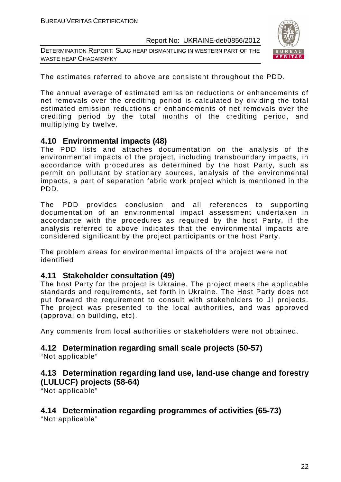DETERMINATION REPORT: SLAG HEAP DISMANTLING IN WESTERN PART OF THE WASTE HEAP CHAGARNYKY



The estimates referred to above are consistent throughout the PDD.

The annual average of estimated emission reductions or enhancements of net removals over the crediting period is calculated by dividing the total estimated emission reductions or enhancements of net removals over the crediting period by the total months of the crediting period, and multiplying by twelve.

# **4.10 Environmental impacts (48)**

The PDD lists and attaches documentation on the analysis of the environmental impacts of the project, including transboundary impacts, in accordance with procedures as determined by the host Party, such as permit on pollutant by stationary sources, analysis of the environmental impacts, a part of separation fabric work project which is mentioned in the PDD.

The PDD provides conclusion and all references to supporting documentation of an environmental impact assessment undertaken in accordance with the procedures as required by the host Party, if the analysis referred to above indicates that the environmental impacts are considered significant by the project participants or the host Party.

The problem areas for environmental impacts of the project were not identified

# **4.11 Stakeholder consultation (49)**

The host Party for the project is Ukraine. The project meets the applicable standards and requirements, set forth in Ukraine. The Host Party does not put forward the requirement to consult with stakeholders to JI projects. The project was presented to the local authorities, and was approved (approval on building, etc).

Any comments from local authorities or stakeholders were not obtained.

# **4.12 Determination regarding small scale projects (50-57)**

"Not applicable"

# **4.13 Determination regarding land use, land-use change and forestry (LULUCF) projects (58-64)**

"Not applicable"

# **4.14 Determination regarding programmes of activities (65-73)**

"Not applicable"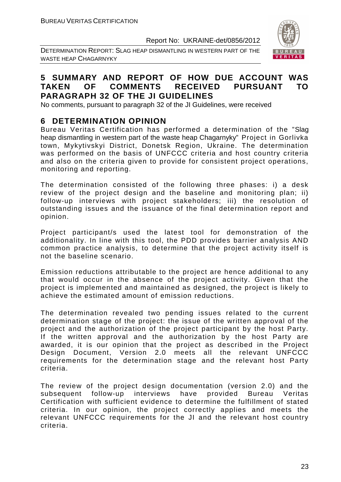DETERMINATION REPORT: SLAG HEAP DISMANTLING IN WESTERN PART OF THE WASTE HEAP CHAGARNYKY



# **5 SUMMARY AND REPORT OF HOW DUE ACCOUNT WAS TAKEN OF COMMENTS RECEIVED PURSUANT TO PARAGRAPH 32 OF THE JI GUIDELINES**

No comments, pursuant to paragraph 32 of the JI Guidelines, were received

# **6 DETERMINATION OPINION**

Bureau Veritas Certification has performed a determination of the "Slag heap dismantling in western part of the waste heap Chagarnyky" Project in Gorlivka town, Mykytivskyi District, Donetsk Region, Ukraine. The determination was performed on the basis of UNFCCC criteria and host country criteria and also on the criteria given to provide for consistent project operations, monitoring and reporting.

The determination consisted of the following three phases: i) a desk review of the project design and the baseline and monitoring plan; ii) follow-up interviews with project stakeholders; iii) the resolution of outstanding issues and the issuance of the final determination report and opinion.

Project participant/s used the latest tool for demonstration of the additionality. In line with this tool, the PDD provides barrier analysis AND common practice analysis, to determine that the project activity itself is not the baseline scenario.

Emission reductions attributable to the project are hence additional to any that would occur in the absence of the project activity. Given that the project is implemented and maintained as designed, the project is likely to achieve the estimated amount of emission reductions.

The determination revealed two pending issues related to the current determination stage of the project: the issue of the written approval of the project and the authorization of the project participant by the host Party. If the written approval and the authorization by the host Party are awarded, it is our opinion that the project as described in the Project Design Document, Version 2.0 meets all the relevant UNFCCC requirements for the determination stage and the relevant host Party criteria.

The review of the project design documentation (version 2.0) and the subsequent follow-up interviews have provided Bureau Veritas Certification with sufficient evidence to determine the fulfillment of stated criteria. In our opinion, the project correctly applies and meets the relevant UNFCCC requirements for the JI and the relevant host country criteria.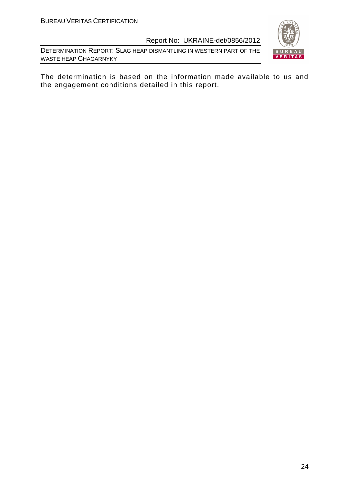DETERMINATION REPORT: SLAG HEAP DISMANTLING IN WESTERN PART OF THE WASTE HEAP CHAGARNYKY



The determination is based on the information made available to us and the engagement conditions detailed in this report.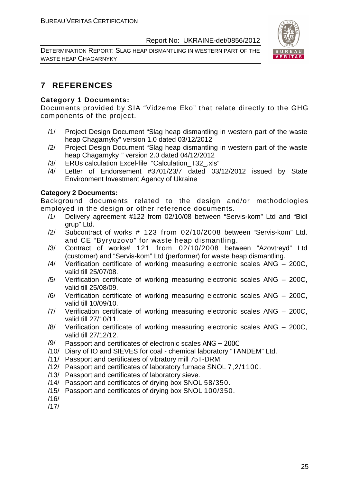DETERMINATION REPORT: SLAG HEAP DISMANTLING IN WESTERN PART OF THE WASTE HEAP CHAGARNYKY



# **7 REFERENCES**

# **Category 1 Documents:**

Documents provided by SIA "Vidzeme Eko" that relate directly to the GHG components of the project.

- /1/ Project Design Document "Slag heap dismantling in western part of the waste heap Chagarnyky" version 1.0 dated 03/12/2012
- /2/ Project Design Document "Slag heap dismantling in western part of the waste heap Chagarnyky " version 2.0 dated 04/12/2012
- /3/ ERUs calculation Excel-file "Calculation\_T32\_.xls"
- /4/ Letter of Endorsement #3701/23/7 dated 03/12/2012 issued by State Environment Investment Agency of Ukraine

# **Category 2 Documents:**

Background documents related to the design and/or methodologies employed in the design or other reference documents.

- /1/ Delivery agreement #122 from 02/10/08 between "Servis-kom" Ltd and "Bidl grup" Ltd.
- /2/ Subcontract of works # 123 from 02/10/2008 between "Servis-kom" Ltd. and CE "Byryuzovo" for waste heap dismantling.
- /3/ Contract of works# 121 from 02/10/2008 between "Azovtreyd" Ltd (customer) and "Servis-kom" Ltd (performer) for waste heap dismantling.
- /4/ Verification certificate of working measuring electronic scales ANG 200C, valid till 25/07/08.
- /5/ Verification certificate of working measuring electronic scales ANG 200C, valid till 25/08/09.
- /6/ Verification certificate of working measuring electronic scales ANG 200C, valid till 10/09/10.
- /7/ Verification certificate of working measuring electronic scales ANG 200C, valid till 27/10/11.
- /8/ Verification certificate of working measuring electronic scales ANG 200C, valid till 27/12/12.
- /9/ Passport and certificates of electronic scales ANG 200C
- /10/ Diary of IO and SIEVES for coal chemical laboratory "TANDEM" Ltd.
- /11/ Passport and certificates of vibratory mill 75T-DRM.
- /12/ Passport and certificates of laboratory furnace SNOL 7,2/1100.
- /13/ Passport and certificates of laboratory sieve.
- /14/ Passport and certificates of drying box SNOL 58/350.
- /15/ Passport and certificates of drying box SNOL 100/350.
- /16/

/17/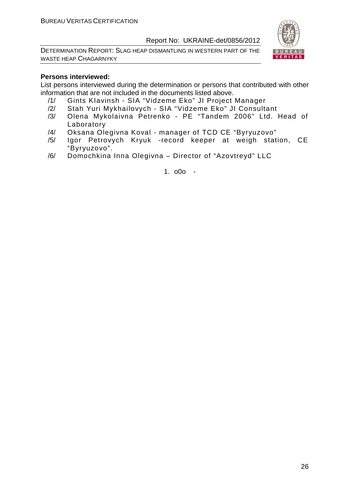DETERMINATION REPORT: SLAG HEAP DISMANTLING IN WESTERN PART OF THE WASTE HEAP CHAGARNYKY



#### **Persons interviewed:**

List persons interviewed during the determination or persons that contributed with other information that are not included in the documents listed above.

- /1/ Gints KIavinsh SIA "Vidzeme Eko" JI Project Manager
- /2/ Stah Yuri Mykhailovych SIA "Vidzeme Eko" JI Consultant
- /3/ Olena Mykolaivna Petrenko PE "Tandem 2006" Ltd. Head of Laboratory
- /4/ Oksana Olegіvna Koval manager of TCD CE "Byryuzovo"
- /5/ Igor Petrovych Kryuk -record keeper at weigh station, CE "Byryuzovo".
- /6/ Domochkina Inna Olegivna Director of "Azovtreyd" LLC

1. o0o -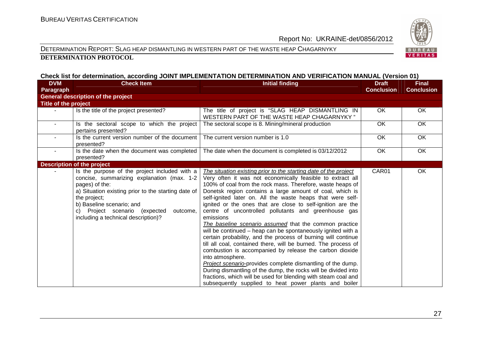#### DETERMINATION REPORT: SLAG HEAP DISMANTLING IN WESTERN PART OF THE WASTE HEAP CHAGARNYKY **DETERMINATION PROTOCOL**

#### **Check list for determination, according JOINT IMPLEMENTATION DETERMINATION AND VERIFICATION MANUAL (Version 01)**

| <b>DVM</b>           | <b>Check Item</b>                                                                                                                                                                                                                                                                                        | <b>Initial finding</b>                                                                                                                                                                                                                                                                                                                                                                                                                                                                                                                                                                                                                                                                                                                                                                                                                                                                                                                                                                                                                                             | <b>Draft</b>      | <b>Final</b>      |
|----------------------|----------------------------------------------------------------------------------------------------------------------------------------------------------------------------------------------------------------------------------------------------------------------------------------------------------|--------------------------------------------------------------------------------------------------------------------------------------------------------------------------------------------------------------------------------------------------------------------------------------------------------------------------------------------------------------------------------------------------------------------------------------------------------------------------------------------------------------------------------------------------------------------------------------------------------------------------------------------------------------------------------------------------------------------------------------------------------------------------------------------------------------------------------------------------------------------------------------------------------------------------------------------------------------------------------------------------------------------------------------------------------------------|-------------------|-------------------|
| <b>Paragraph</b>     |                                                                                                                                                                                                                                                                                                          |                                                                                                                                                                                                                                                                                                                                                                                                                                                                                                                                                                                                                                                                                                                                                                                                                                                                                                                                                                                                                                                                    | <b>Conclusion</b> | <b>Conclusion</b> |
|                      | <b>General description of the project</b>                                                                                                                                                                                                                                                                |                                                                                                                                                                                                                                                                                                                                                                                                                                                                                                                                                                                                                                                                                                                                                                                                                                                                                                                                                                                                                                                                    |                   |                   |
| Title of the project |                                                                                                                                                                                                                                                                                                          |                                                                                                                                                                                                                                                                                                                                                                                                                                                                                                                                                                                                                                                                                                                                                                                                                                                                                                                                                                                                                                                                    |                   |                   |
|                      | Is the title of the project presented?                                                                                                                                                                                                                                                                   | The title of project is "SLAG HEAP DISMANTLING IN<br>WESTERN PART OF THE WASTE HEAP CHAGARNYKY"                                                                                                                                                                                                                                                                                                                                                                                                                                                                                                                                                                                                                                                                                                                                                                                                                                                                                                                                                                    | OK                | OK                |
|                      | Is the sectoral scope to which the project<br>pertains presented?                                                                                                                                                                                                                                        | The sectoral scope is 8. Mining/mineral production                                                                                                                                                                                                                                                                                                                                                                                                                                                                                                                                                                                                                                                                                                                                                                                                                                                                                                                                                                                                                 | <b>OK</b>         | OK                |
| $\sim$               | Is the current version number of the document<br>presented?                                                                                                                                                                                                                                              | The current version number is 1.0                                                                                                                                                                                                                                                                                                                                                                                                                                                                                                                                                                                                                                                                                                                                                                                                                                                                                                                                                                                                                                  | OK                | OK                |
|                      | Is the date when the document was completed<br>presented?                                                                                                                                                                                                                                                | The date when the document is completed is 03/12/2012                                                                                                                                                                                                                                                                                                                                                                                                                                                                                                                                                                                                                                                                                                                                                                                                                                                                                                                                                                                                              | OK                | OK.               |
|                      | <b>Description of the project</b>                                                                                                                                                                                                                                                                        |                                                                                                                                                                                                                                                                                                                                                                                                                                                                                                                                                                                                                                                                                                                                                                                                                                                                                                                                                                                                                                                                    |                   |                   |
|                      | Is the purpose of the project included with a<br>concise, summarizing explanation (max. 1-2<br>pages) of the:<br>a) Situation existing prior to the starting date of<br>the project;<br>b) Baseline scenario; and<br>Project scenario (expected<br>outcome,<br>C)<br>including a technical description)? | The situation existing prior to the starting date of the project<br>Very often it was not economically feasible to extract all<br>100% of coal from the rock mass. Therefore, waste heaps of<br>Donetsk region contains a large amount of coal, which is<br>self-ignited later on. All the waste heaps that were self-<br>ignited or the ones that are close to self-ignition are the<br>centre of uncontrolled pollutants and greenhouse gas<br>emissions<br>The baseline scenario assumed that the common practice<br>will be continued - heap can be spontaneously ignited with a<br>certain probability, and the process of burning will continue<br>till all coal, contained there, will be burned. The process of<br>combustion is accompanied by release the carbon dioxide<br>into atmosphere.<br>Project scenario-provides complete dismantling of the dump.<br>During dismantling of the dump, the rocks will be divided into<br>fractions, which will be used for blending with steam coal and<br>subsequently supplied to heat power plants and boiler | CAR01             | OK                |

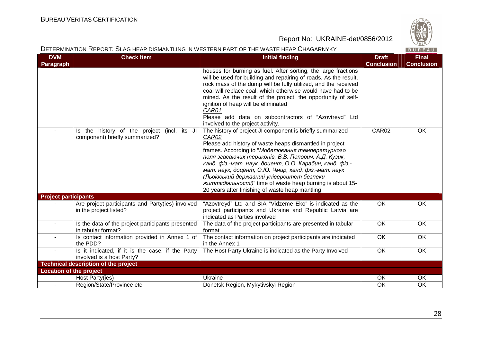

|                                | DETERMINATION REPORT: SLAG HEAP DISMANTLING IN WESTERN PART OF THE WASTE HEAP CHAGARNYKY |                                                                                                                                                                                                                                                                                                                                                                                                                                                                                                                                |                                   | BUREAU                            |
|--------------------------------|------------------------------------------------------------------------------------------|--------------------------------------------------------------------------------------------------------------------------------------------------------------------------------------------------------------------------------------------------------------------------------------------------------------------------------------------------------------------------------------------------------------------------------------------------------------------------------------------------------------------------------|-----------------------------------|-----------------------------------|
| <b>DVM</b><br><b>Paragraph</b> | <b>Check Item</b>                                                                        | <b>Initial finding</b>                                                                                                                                                                                                                                                                                                                                                                                                                                                                                                         | <b>Draft</b><br><b>Conclusion</b> | <b>Final</b><br><b>Conclusion</b> |
|                                |                                                                                          | houses for burning as fuel. After sorting, the large fractions<br>will be used for building and repairing of roads. As the result,<br>rock mass of the dump will be fully utilized, and the received<br>coal will replace coal, which otherwise would have had to be<br>mined. As the result of the project, the opportunity of self-<br>ignition of heap will be eliminated<br>CAR01<br>Please add data on subcontractors of "Azovtreyd" Ltd<br>involved to the project activity.                                             |                                   |                                   |
|                                | Is the history of the project (incl. its JI<br>component) briefly summarized?            | The history of project JI component is briefly summarized<br>CAR02<br>Please add history of waste heaps dismantled in project<br>frames. According to "Моделювання температурного<br>поля згасаючих териконів, В.В. Попович, А.Д. Кузик,<br>канд. фіз.-мат. наук, доцент, О.О. Карабин, канд. фіз.-<br>мат. наук, доцент, О.Ю. Чмир, канд. фіз.-мат. наук<br>(Львівський державний університет безпеки<br><i>життедіяльності)</i> " time of waste heap burning is about 15-<br>20 years after finishing of waste heap mantling | CAR02                             | OK                                |
| <b>Project participants</b>    |                                                                                          |                                                                                                                                                                                                                                                                                                                                                                                                                                                                                                                                |                                   |                                   |
|                                | Are project participants and Party(ies) involved<br>in the project listed?               | "Azovtreyd" Ltd and SIA "Vidzeme Eko" is indicated as the<br>project participants and Ukraine and Republic Latvia are<br>indicated as Parties involved                                                                                                                                                                                                                                                                                                                                                                         | OK                                | OK                                |
|                                | Is the data of the project participants presented<br>in tabular format?                  | The data of the project participants are presented in tabular<br>format                                                                                                                                                                                                                                                                                                                                                                                                                                                        | $\overline{OK}$                   | $\overline{OK}$                   |
|                                | Is contact information provided in Annex 1 of<br>the PDD?                                | The contact information on project participants are indicated<br>in the Annex 1                                                                                                                                                                                                                                                                                                                                                                                                                                                | OK                                | OK                                |
| $\sim$                         | Is it indicated, if it is the case, if the Party<br>involved is a host Party?            | The Host Party Ukraine is indicated as the Party Involved                                                                                                                                                                                                                                                                                                                                                                                                                                                                      | OK                                | OK                                |
|                                | <b>Technical description of the project</b>                                              |                                                                                                                                                                                                                                                                                                                                                                                                                                                                                                                                |                                   |                                   |
| <b>Location of the project</b> |                                                                                          |                                                                                                                                                                                                                                                                                                                                                                                                                                                                                                                                |                                   |                                   |
|                                | Host Party(ies)                                                                          | Ukraine                                                                                                                                                                                                                                                                                                                                                                                                                                                                                                                        | OK                                | OK                                |
|                                | Region/State/Province etc.                                                               | Donetsk Region, Mykytivskyi Region                                                                                                                                                                                                                                                                                                                                                                                                                                                                                             | OK                                | OK                                |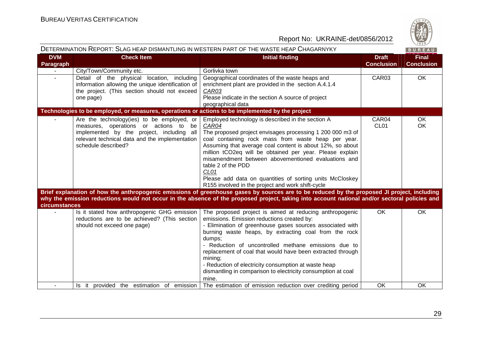

|                         |                                                                                                                                                                                                           | DETERMINATION REPORT: SLAG HEAP DISMANTLING IN WESTERN PART OF THE WASTE HEAP CHAGARNYKY                                                                                                                                                                                                                                                                                                                                                                                                                                                                                                                                                                     |                                   | BUREAU                            |
|-------------------------|-----------------------------------------------------------------------------------------------------------------------------------------------------------------------------------------------------------|--------------------------------------------------------------------------------------------------------------------------------------------------------------------------------------------------------------------------------------------------------------------------------------------------------------------------------------------------------------------------------------------------------------------------------------------------------------------------------------------------------------------------------------------------------------------------------------------------------------------------------------------------------------|-----------------------------------|-----------------------------------|
| <b>DVM</b><br>Paragraph | <b>Check Item</b>                                                                                                                                                                                         | <b>Initial finding</b>                                                                                                                                                                                                                                                                                                                                                                                                                                                                                                                                                                                                                                       | <b>Draft</b><br><b>Conclusion</b> | <b>Final</b><br><b>Conclusion</b> |
|                         | City/Town/Community etc.                                                                                                                                                                                  | Gorlivka town                                                                                                                                                                                                                                                                                                                                                                                                                                                                                                                                                                                                                                                |                                   |                                   |
|                         | Detail of the physical location, including<br>information allowing the unique identification of<br>the project. (This section should not exceed<br>one page)                                              | Geographical coordinates of the waste heaps and<br>enrichment plant are provided in the section A.4.1.4<br>CAR03<br>Please indicate in the section A source of project<br>geographical data                                                                                                                                                                                                                                                                                                                                                                                                                                                                  | CAR03                             | OK                                |
|                         | Technologies to be employed, or measures, operations or actions to be implemented by the project                                                                                                          |                                                                                                                                                                                                                                                                                                                                                                                                                                                                                                                                                                                                                                                              |                                   |                                   |
|                         | Are the technology(ies) to be employed, or<br>measures, operations or actions to be<br>implemented by the project, including all<br>relevant technical data and the implementation<br>schedule described? | Employed technology is described in the section A<br>CAR04<br>The proposed project envisages processing 1 200 000 m3 of<br>coal containing rock mass from waste heap per year.<br>Assuming that average coal content is about 12%, so about<br>million tCO2eq will be obtained per year. Please explain<br>misamendment between abovementioned evaluations and<br>table 2 of the PDD<br>CL01<br>Please add data on quantities of sorting units McCloskey<br>R155 involved in the project and work shift-cycle<br>Brief explanation of how the anthropogenic emissions of greenhouse gases by sources are to be reduced by the proposed JI project, including | CAR04<br>CL <sub>01</sub>         | OK<br>OK                          |
| <b>circumstances</b>    |                                                                                                                                                                                                           | why the emission reductions would not occur in the absence of the proposed project, taking into account national and/or sectoral policies and                                                                                                                                                                                                                                                                                                                                                                                                                                                                                                                |                                   |                                   |
|                         | Is it stated how anthropogenic GHG emission<br>reductions are to be achieved? (This section<br>should not exceed one page)                                                                                | The proposed project is aimed at reducing anthropogenic<br>emissions. Emission reductions created by:<br>- Elimination of greenhouse gases sources associated with<br>burning waste heaps, by extracting coal from the rock<br>dumps;<br>- Reduction of uncontrolled methane emissions due to<br>replacement of coal that would have been extracted through<br>mining;<br>- Reduction of electricity consumption at waste heap<br>dismantling in comparison to electricity consumption at coal<br>mine.                                                                                                                                                      | <b>OK</b>                         | OK                                |
|                         | Is it provided the estimation of emission                                                                                                                                                                 | The estimation of emission reduction over crediting period                                                                                                                                                                                                                                                                                                                                                                                                                                                                                                                                                                                                   | OK                                | OK                                |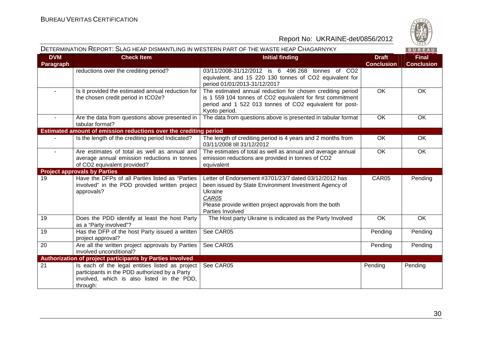

|                         | DETERMINATION REPORT: SLAG HEAP DISMANTLING IN WESTERN PART OF THE WASTE HEAP CHAGARNYKY                                                                   |                                                                                                                                                                                                                  |                                   | BUREAU                            |
|-------------------------|------------------------------------------------------------------------------------------------------------------------------------------------------------|------------------------------------------------------------------------------------------------------------------------------------------------------------------------------------------------------------------|-----------------------------------|-----------------------------------|
| <b>DVM</b><br>Paragraph | <b>Check Item</b>                                                                                                                                          | <b>Initial finding</b>                                                                                                                                                                                           | <b>Draft</b><br><b>Conclusion</b> | <b>Final</b><br><b>Conclusion</b> |
|                         | reductions over the crediting period?                                                                                                                      | 03/11/2008-31/12/2012 is 6 496 268 tonnes of CO2<br>equivalent, and 15 220 130 tonnes of CO2 equivalent for<br>period 01/01/2013-31/12/2017                                                                      |                                   |                                   |
| $\sim$                  | Is it provided the estimated annual reduction for<br>the chosen credit period in tCO2e?                                                                    | The estimated annual reduction for chosen crediting period<br>is 1 559 104 tonnes of CO2 equivalent for first commitment<br>period and 1 522 013 tonnes of CO2 equivalent for post-<br>Kyoto period.             | $\overline{OK}$                   | $\overline{OK}$                   |
|                         | Are the data from questions above presented in<br>tabular format?                                                                                          | The data from questions above is presented in tabular format                                                                                                                                                     | <b>OK</b>                         | OK                                |
|                         | Estimated amount of emission reductions over the crediting period                                                                                          |                                                                                                                                                                                                                  |                                   |                                   |
|                         | Is the length of the crediting period Indicated?                                                                                                           | The length of crediting period is 4 years and 2 months from<br>03/11/2008 till 31/12/2012                                                                                                                        | OK                                | OK                                |
| $\blacksquare$          | Are estimates of total as well as annual and<br>average annual emission reductions in tonnes<br>of CO2 equivalent provided?                                | The estimates of total as well as annual and average annual<br>emission reductions are provided in tonnes of CO2<br>equivalent                                                                                   | OK                                | OK                                |
|                         | <b>Project approvals by Parties</b>                                                                                                                        |                                                                                                                                                                                                                  |                                   |                                   |
| 19                      | Have the DFPs of all Parties listed as "Parties<br>involved" in the PDD provided written project<br>approvals?                                             | Letter of Endorsement #3701/23/7 dated 03/12/2012 has<br>been issued by State Environment Investment Agency of<br>Ukraine<br>CAR05<br>Please provide written project approvals from the both<br>Parties Involved | CAR05                             | Pending                           |
| 19                      | Does the PDD identify at least the host Party<br>as a "Party involved"?                                                                                    | The Host party Ukraine is indicated as the Party Involved                                                                                                                                                        | OK                                | $\overline{OK}$                   |
| 19                      | Has the DFP of the host Party issued a written<br>project approval?                                                                                        | See CAR05                                                                                                                                                                                                        | Pending                           | Pending                           |
| 20                      | Are all the written project approvals by Parties<br>involved unconditional?                                                                                | See CAR05                                                                                                                                                                                                        | Pending                           | Pending                           |
|                         | Authorization of project participants by Parties involved                                                                                                  |                                                                                                                                                                                                                  |                                   |                                   |
| 21                      | Is each of the legal entities listed as project<br>participants in the PDD authorized by a Party<br>involved, which is also listed in the PDD,<br>through: | See CAR05                                                                                                                                                                                                        | Pending                           | Pending                           |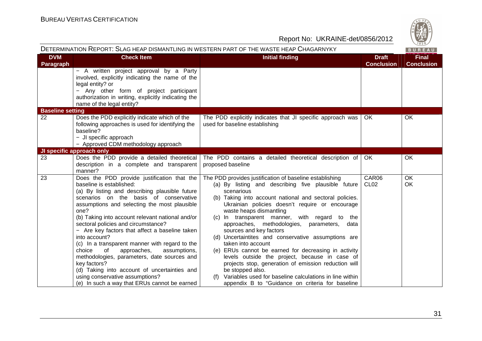

|                         |                                                                                                                                                                                                                                                                                                                                                                                                                                                                                                                                                                                                                                                                                              | DETERMINATION REPORT: SLAG HEAP DISMANTLING IN WESTERN PART OF THE WASTE HEAP CHAGARNYKY                                                                                                                                                                                                                                                                                                                                                                                                                                                                                                                                                                                                                                                                                               |                                   | BUREAU                            |
|-------------------------|----------------------------------------------------------------------------------------------------------------------------------------------------------------------------------------------------------------------------------------------------------------------------------------------------------------------------------------------------------------------------------------------------------------------------------------------------------------------------------------------------------------------------------------------------------------------------------------------------------------------------------------------------------------------------------------------|----------------------------------------------------------------------------------------------------------------------------------------------------------------------------------------------------------------------------------------------------------------------------------------------------------------------------------------------------------------------------------------------------------------------------------------------------------------------------------------------------------------------------------------------------------------------------------------------------------------------------------------------------------------------------------------------------------------------------------------------------------------------------------------|-----------------------------------|-----------------------------------|
| <b>DVM</b><br>Paragraph | <b>Check Item</b>                                                                                                                                                                                                                                                                                                                                                                                                                                                                                                                                                                                                                                                                            | <b>Initial finding</b>                                                                                                                                                                                                                                                                                                                                                                                                                                                                                                                                                                                                                                                                                                                                                                 | <b>Draft</b><br><b>Conclusion</b> | <b>Final</b><br><b>Conclusion</b> |
|                         | - A written project approval by a Party<br>involved, explicitly indicating the name of the<br>legal entity? or<br>- Any other form of project participant<br>authorization in writing, explicitly indicating the<br>name of the legal entity?                                                                                                                                                                                                                                                                                                                                                                                                                                                |                                                                                                                                                                                                                                                                                                                                                                                                                                                                                                                                                                                                                                                                                                                                                                                        |                                   |                                   |
| <b>Baseline setting</b> |                                                                                                                                                                                                                                                                                                                                                                                                                                                                                                                                                                                                                                                                                              |                                                                                                                                                                                                                                                                                                                                                                                                                                                                                                                                                                                                                                                                                                                                                                                        |                                   |                                   |
| 22                      | Does the PDD explicitly indicate which of the<br>following approaches is used for identifying the<br>baseline?<br>- JI specific approach                                                                                                                                                                                                                                                                                                                                                                                                                                                                                                                                                     | The PDD explicitly indicates that JI specific approach was<br>used for baseline establishing                                                                                                                                                                                                                                                                                                                                                                                                                                                                                                                                                                                                                                                                                           | OK.                               | <b>OK</b>                         |
|                         | - Approved CDM methodology approach                                                                                                                                                                                                                                                                                                                                                                                                                                                                                                                                                                                                                                                          |                                                                                                                                                                                                                                                                                                                                                                                                                                                                                                                                                                                                                                                                                                                                                                                        |                                   |                                   |
|                         | JI specific approach only                                                                                                                                                                                                                                                                                                                                                                                                                                                                                                                                                                                                                                                                    |                                                                                                                                                                                                                                                                                                                                                                                                                                                                                                                                                                                                                                                                                                                                                                                        |                                   |                                   |
| 23                      | Does the PDD provide a detailed theoretical<br>description in a complete and transparent<br>manner?                                                                                                                                                                                                                                                                                                                                                                                                                                                                                                                                                                                          | The PDD contains a detailed theoretical description of<br>proposed baseline                                                                                                                                                                                                                                                                                                                                                                                                                                                                                                                                                                                                                                                                                                            | OK.                               | OK                                |
| 23                      | Does the PDD provide justification that the<br>baseline is established:<br>(a) By listing and describing plausible future<br>scenarios on the basis of conservative<br>assumptions and selecting the most plausible<br>one?<br>(b) Taking into account relevant national and/or<br>sectoral policies and circumstance?<br>- Are key factors that affect a baseline taken<br>into account?<br>(c) In a transparent manner with regard to the<br>of<br>approaches,<br>assumptions,<br>choice<br>methodologies, parameters, date sources and<br>key factors?<br>(d) Taking into account of uncertainties and<br>using conservative assumptions?<br>(e) In such a way that ERUs cannot be earned | The PDD provides justification of baseline establishing<br>(a) By listing and describing five plausible future<br>scenarious<br>(b) Taking into account national and sectoral policies.<br>Ukrainian policies doesn't require or encourage<br>waste heaps dismantling<br>(c) In transparent manner, with regard to the<br>approaches, methodologies, parameters, data<br>sources and key factors<br>(d) Uncertaintites and conservative assumptions are<br>taken into account<br>(e) ERUs cannot be earned for decreasing in activity<br>levels outside the project, because in case of<br>projects stop, generation of emission reduction will<br>be stopped also.<br>(f) Variables used for baseline calculations in line within<br>appendix B to "Guidance on criteria for baseline | CAR06<br><b>CL02</b>              | OK.<br>OK                         |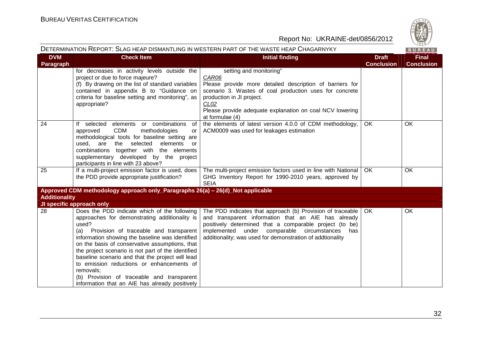

DETERMINATION REPORT: SLAG HEAP DISMANTLING IN WESTERN PART OF THE WASTE HEAP CHAGARNYKY **BUREAU Check ItemDVMFinal Initial finding the discretion of the Draft School of the Draft School of the Draft School of the Draft School**<br>Initial finding the Draft School of The Draft School of the Draft School of The Draft School of The Draft Sch **Conclusion Conclusion Paragraph** for decreases in activity levels outside the setting and monitoring" project or due to force majeure? CAR06 (f) By drawing on the list of standard variables Please provide more detailed description of barriers for contained in appendix B to "Guidance on scenario 3. Wastes of coal production uses for concrete production in JI project. criteria for baseline setting and monitoring", as  $CLO2$ appropriate? Please provide adequate explanation on coal NCV lowering at formulae (4) 24 If selected elements or combinations of the elements of latest version 4.0.0 of CDM methodology, OK OK ACM0009 was used for leakages estimation approved CDM methodologies or methodological tools for baseline setting are used, are the selected elements or combinations together with the elements supplementary developed by the project participants in line with 23 above? 25 | If a multi-project emission factor is used, does OK OK The multi-project emission factors used in line with National the PDD provide appropriate justification? GHG Inventory Report for 1990-2010 years, approved by SEIA **Approved CDM methodology approach only\_Paragraphs 26(a) – 26(d)\_Not applicable Additionality JI specific approach only**The PDD indicates that approach (b) Provision of traceable OK OK 28 Does the PDD indicate which of the following approaches for demonstrating additionality is and transparent information that an AIE has alreadyused? positively determined that a comparable project (to be) (a) Provision of traceable and transparent implemented under comparable circumstances has information showing the baseline was identified additionality; was used for demonstration of addtionality on the basis of conservative assumptions, that the project scenario is not part of the identified baseline scenario and that the project will lead to emission reductions or enhancements of removals; (b) Provision of traceable and transparent information that an AIE has already positively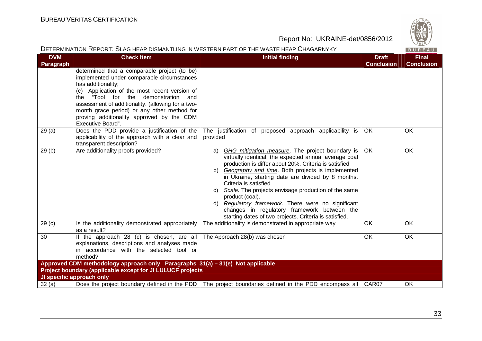

| DETERMINATION REPORT: SLAG HEAP DISMANTLING IN WESTERN PART OF THE WASTE HEAP CHAGARNYKY<br>BUREAU |                                                                                                                                                                                                                                                                                                                                                                                |                                                                                                                                                                                                                                                                                                                                                                                                                                                                                                                                                           |                                   |                                   |  |
|----------------------------------------------------------------------------------------------------|--------------------------------------------------------------------------------------------------------------------------------------------------------------------------------------------------------------------------------------------------------------------------------------------------------------------------------------------------------------------------------|-----------------------------------------------------------------------------------------------------------------------------------------------------------------------------------------------------------------------------------------------------------------------------------------------------------------------------------------------------------------------------------------------------------------------------------------------------------------------------------------------------------------------------------------------------------|-----------------------------------|-----------------------------------|--|
| <b>DVM</b><br>Paragraph                                                                            | <b>Check Item</b>                                                                                                                                                                                                                                                                                                                                                              | <b>Initial finding</b>                                                                                                                                                                                                                                                                                                                                                                                                                                                                                                                                    | <b>Draft</b><br><b>Conclusion</b> | <b>Final</b><br><b>Conclusion</b> |  |
|                                                                                                    | determined that a comparable project (to be)<br>implemented under comparable circumstances<br>has additionality;<br>(c) Application of the most recent version of<br>the "Tool for the demonstration and<br>assessment of additionality. (allowing for a two-<br>month grace period) or any other method for<br>proving additionality approved by the CDM<br>Executive Board". |                                                                                                                                                                                                                                                                                                                                                                                                                                                                                                                                                           |                                   |                                   |  |
| 29(a)                                                                                              | Does the PDD provide a justification of the<br>applicability of the approach with a clear and<br>transparent description?                                                                                                                                                                                                                                                      | The justification of proposed approach applicability is<br>provided                                                                                                                                                                                                                                                                                                                                                                                                                                                                                       | OK                                | OK                                |  |
| 29(b)                                                                                              | Are additionality proofs provided?                                                                                                                                                                                                                                                                                                                                             | GHG mitigation measure. The project boundary is<br>a)<br>virtually identical, the expected annual average coal<br>production is differ about 20%. Criteria is satisfied<br>b) Geography and time. Both projects is implemented<br>in Ukraine, starting date are divided by 8 months.<br>Criteria is satisfied<br>c) Scale. The projects envisage production of the same<br>product (coal).<br>d) Regulatory framework. There were no significant<br>changes in regulatory framework between the<br>starting dates of two projects. Criteria is satisfied. | <b>OK</b>                         | OK                                |  |
| 29 <sub>(c)</sub>                                                                                  | Is the additionality demonstrated appropriately<br>as a result?                                                                                                                                                                                                                                                                                                                | The additionality is demonstrated in appropriate way                                                                                                                                                                                                                                                                                                                                                                                                                                                                                                      | OK                                | OK                                |  |
| 30                                                                                                 | If the approach 28 (c) is chosen, are all<br>explanations, descriptions and analyses made<br>in accordance with the selected tool or<br>method?                                                                                                                                                                                                                                | The Approach 28(b) was chosen                                                                                                                                                                                                                                                                                                                                                                                                                                                                                                                             | <b>OK</b>                         | <b>OK</b>                         |  |
| Approved CDM methodology approach only_ Paragraphs 31(a) - 31(e)_Not applicable                    |                                                                                                                                                                                                                                                                                                                                                                                |                                                                                                                                                                                                                                                                                                                                                                                                                                                                                                                                                           |                                   |                                   |  |
|                                                                                                    | Project boundary (applicable except for JI LULUCF projects                                                                                                                                                                                                                                                                                                                     |                                                                                                                                                                                                                                                                                                                                                                                                                                                                                                                                                           |                                   |                                   |  |
| 32(a)                                                                                              | JI specific approach only                                                                                                                                                                                                                                                                                                                                                      | Does the project boundary defined in the PDD   The project boundaries defined in the PDD encompass all   CAR07                                                                                                                                                                                                                                                                                                                                                                                                                                            |                                   | 0K                                |  |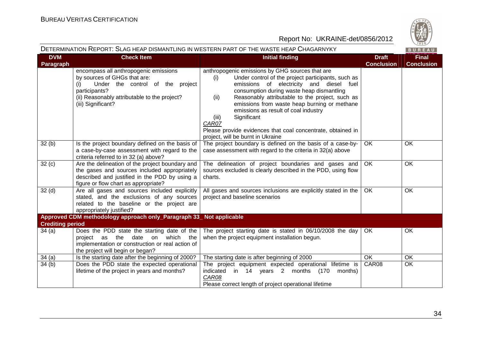

|                                  | DETERMINATION REPORT: SLAG HEAP DISMANTLING IN WESTERN PART OF THE WASTE HEAP CHAGARNYKY<br>BUREAU                                                                                                      |                                                                                                                                                                                                                                                                                                                                                                                                                                                                                               |                                   |                                   |
|----------------------------------|---------------------------------------------------------------------------------------------------------------------------------------------------------------------------------------------------------|-----------------------------------------------------------------------------------------------------------------------------------------------------------------------------------------------------------------------------------------------------------------------------------------------------------------------------------------------------------------------------------------------------------------------------------------------------------------------------------------------|-----------------------------------|-----------------------------------|
| <b>DVM</b><br><b>Paragraph</b>   | <b>Check Item</b>                                                                                                                                                                                       | <b>Initial finding</b>                                                                                                                                                                                                                                                                                                                                                                                                                                                                        | <b>Draft</b><br><b>Conclusion</b> | <b>Final</b><br><b>Conclusion</b> |
|                                  | encompass all anthropogenic emissions<br>by sources of GHGs that are:<br>Under the control of the project<br>(i)<br>participants?<br>(ii) Reasonably attributable to the project?<br>(iii) Significant? | anthropogenic emissions by GHG sources that are<br>(i)<br>Under control of the project participants, such as<br>emissions of electricity and diesel fuel<br>consumption during waste heap dismantling<br>Reasonably attributable to the project, such as<br>(ii)<br>emissions from waste heap burning or methane<br>emissions as result of coal industry<br>Significant<br>(iii)<br>CAR07<br>Please provide evidences that coal concentrate, obtained in<br>project, will be burnt in Ukraine |                                   |                                   |
| 32(b)                            | Is the project boundary defined on the basis of<br>a case-by-case assessment with regard to the<br>criteria referred to in 32 (a) above?                                                                | The project boundary is defined on the basis of a case-by-<br>case assessment with regard to the criteria in 32(a) above                                                                                                                                                                                                                                                                                                                                                                      | OK                                | OK                                |
| 32(c)                            | Are the delineation of the project boundary and<br>the gases and sources included appropriately<br>described and justified in the PDD by using a<br>figure or flow chart as appropriate?                | The delineation of project boundaries and gases and<br>sources excluded is clearly described in the PDD, using flow<br>charts.                                                                                                                                                                                                                                                                                                                                                                | OK.                               | <b>OK</b>                         |
| 32 <sub>(d)</sub>                | Are all gases and sources included explicitly<br>stated, and the exclusions of any sources<br>related to the baseline or the project are<br>appropriately justified?                                    | All gases and sources inclusions are explicitly stated in the<br>project and baseline scenarios                                                                                                                                                                                                                                                                                                                                                                                               | <b>OK</b>                         | OK                                |
|                                  | Approved CDM methodology approach only_Paragraph 33_ Not applicable                                                                                                                                     |                                                                                                                                                                                                                                                                                                                                                                                                                                                                                               |                                   |                                   |
| <b>Crediting period</b><br>34(a) | Does the PDD state the starting date of the<br>project as the date on<br>which the<br>implementation or construction or real action of<br>the project will begin or began?                              | The project starting date is stated in 06/10/2008 the day<br>when the project equipment installation begun.                                                                                                                                                                                                                                                                                                                                                                                   | OK.                               | OK                                |
| 34(a)                            | Is the starting date after the beginning of 2000?                                                                                                                                                       | The starting date is after beginning of 2000                                                                                                                                                                                                                                                                                                                                                                                                                                                  | <b>OK</b>                         | OK                                |
| 34(b)                            | Does the PDD state the expected operational<br>lifetime of the project in years and months?                                                                                                             | The project equipment expected operational lifetime is<br>indicated in 14 years 2 months (170<br>months)<br>CAR08<br>Please correct length of project operational lifetime                                                                                                                                                                                                                                                                                                                    | CAR08                             | OK                                |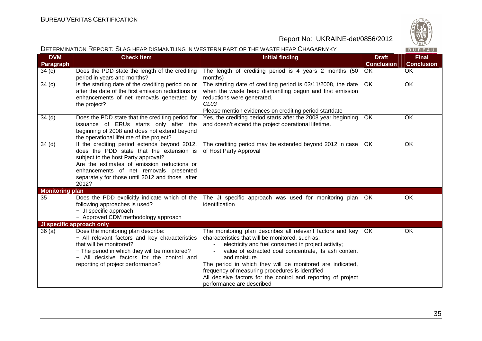

|                         | DETERMINATION REPORT: SLAG HEAP DISMANTLING IN WESTERN PART OF THE WASTE HEAP CHAGARNYKY<br>BUREAU                                                                                                                                                                                   |                                                                                                                                                                                                                                                                                                                                                                                                                                                             |                                   |                                   |
|-------------------------|--------------------------------------------------------------------------------------------------------------------------------------------------------------------------------------------------------------------------------------------------------------------------------------|-------------------------------------------------------------------------------------------------------------------------------------------------------------------------------------------------------------------------------------------------------------------------------------------------------------------------------------------------------------------------------------------------------------------------------------------------------------|-----------------------------------|-----------------------------------|
| <b>DVM</b><br>Paragraph | <b>Check Item</b>                                                                                                                                                                                                                                                                    | <b>Initial finding</b>                                                                                                                                                                                                                                                                                                                                                                                                                                      | <b>Draft</b><br><b>Conclusion</b> | <b>Final</b><br><b>Conclusion</b> |
| 34(c)                   | Does the PDD state the length of the crediting<br>period in years and months?                                                                                                                                                                                                        | The length of crediting period is 4 years 2 months (50<br>months)                                                                                                                                                                                                                                                                                                                                                                                           | OK                                | <b>OK</b>                         |
| 34(c)                   | Is the starting date of the crediting period on or<br>after the date of the first emission reductions or<br>enhancements of net removals generated by<br>the project?                                                                                                                | The starting date of crediting period is 03/11/2008, the date<br>when the waste heap dismantling begun and first emission<br>reductions were generated.<br>CL <sub>03</sub><br>Please mention evidences on crediting period startdate                                                                                                                                                                                                                       | <b>OK</b>                         | <b>OK</b>                         |
| 34 <sub>(d)</sub>       | Does the PDD state that the crediting period for<br>issuance of ERUs starts only after the<br>beginning of 2008 and does not extend beyond<br>the operational lifetime of the project?                                                                                               | Yes, the crediting period starts after the 2008 year beginning<br>and doesn't extend the project operational lifetime.                                                                                                                                                                                                                                                                                                                                      | OK                                | <b>OK</b>                         |
| 34 <sub>(d)</sub>       | If the crediting period extends beyond 2012,<br>does the PDD state that the extension is<br>subject to the host Party approval?<br>Are the estimates of emission reductions or<br>enhancements of net removals presented<br>separately for those until 2012 and those after<br>2012? | The crediting period may be extended beyond 2012 in case<br>of Host Party Approval                                                                                                                                                                                                                                                                                                                                                                          | OK                                | <b>OK</b>                         |
| <b>Monitoring plan</b>  |                                                                                                                                                                                                                                                                                      |                                                                                                                                                                                                                                                                                                                                                                                                                                                             |                                   |                                   |
| 35                      | Does the PDD explicitly indicate which of the<br>following approaches is used?<br>- JI specific approach<br>- Approved CDM methodology approach                                                                                                                                      | The JI specific approach was used for monitoring plan<br>identification                                                                                                                                                                                                                                                                                                                                                                                     | OK.                               | <b>OK</b>                         |
|                         | JI specific approach only                                                                                                                                                                                                                                                            |                                                                                                                                                                                                                                                                                                                                                                                                                                                             |                                   |                                   |
| 36(a)                   | Does the monitoring plan describe:<br>- All relevant factors and key characteristics<br>that will be monitored?<br>- The period in which they will be monitored?<br>- All decisive factors for the control and<br>reporting of project performance?                                  | The monitoring plan describes all relevant factors and key<br>characteristics that will be monitored, such as:<br>electricity and fuel consumed in project activity;<br>value of extracted coal concentrate, its ash content<br>and moisture.<br>The period in which they will be monitored are indicated,<br>frequency of measuring procedures is identified<br>All decisive factors for the control and reporting of project<br>performance are described | OK.                               | OK                                |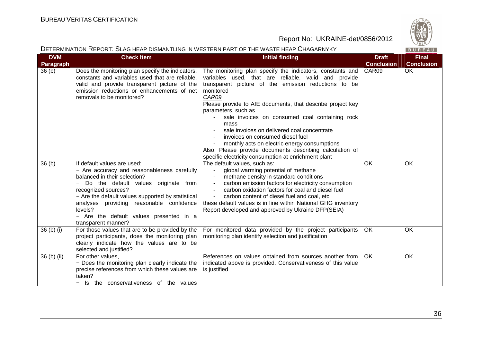

|                         |                                                                                                                                                                                                                                                                                                                                                           | DETERMINATION REPORT: SLAG HEAP DISMANTLING IN WESTERN PART OF THE WASTE HEAP CHAGARNYKY                                                                                                                                                                                                                                                                                                                                                                                                                                                                                                              |                                   | ╲‐'"<br>BUREAU                    |
|-------------------------|-----------------------------------------------------------------------------------------------------------------------------------------------------------------------------------------------------------------------------------------------------------------------------------------------------------------------------------------------------------|-------------------------------------------------------------------------------------------------------------------------------------------------------------------------------------------------------------------------------------------------------------------------------------------------------------------------------------------------------------------------------------------------------------------------------------------------------------------------------------------------------------------------------------------------------------------------------------------------------|-----------------------------------|-----------------------------------|
| <b>DVM</b><br>Paragraph | <b>Check Item</b>                                                                                                                                                                                                                                                                                                                                         | <b>Initial finding</b>                                                                                                                                                                                                                                                                                                                                                                                                                                                                                                                                                                                | <b>Draft</b><br><b>Conclusion</b> | <b>Final</b><br><b>Conclusion</b> |
| 36 <sub>(b)</sub>       | Does the monitoring plan specify the indicators,<br>constants and variables used that are reliable,<br>valid and provide transparent picture of the<br>emission reductions or enhancements of net<br>removals to be monitored?                                                                                                                            | The monitoring plan specify the indicators, constants and<br>variables used, that are reliable, valid and provide<br>transparent picture of the emission reductions to be<br>monitored<br>CAR09<br>Please provide to AIE documents, that describe project key<br>parameters, such as<br>sale invoices on consumed coal containing rock<br>mass<br>sale invoices on delivered coal concentrate<br>invoices on consumed diesel fuel<br>monthly acts on electric energy consumptions<br>Also, Please provide documents describing calculation of<br>specific electricity consumption at enrichment plant | CAR09                             | OK                                |
| 36 <sub>(b)</sub>       | If default values are used:<br>- Are accuracy and reasonableness carefully<br>balanced in their selection?<br>- Do the default values originate from<br>recognized sources?<br>- Are the default values supported by statistical<br>analyses providing reasonable confidence<br>levels?<br>- Are the default values presented in a<br>transparent manner? | The default values, such as:<br>global warming potential of methane<br>methane density in standard conditions<br>carbon emission factors for electricity consumption<br>carbon oxidation factors for coal and diesel fuel<br>carbon content of diesel fuel and coal, etc<br>these default values is in line within National GHG inventory<br>Report developed and approved by Ukraine DFP(SEIA)                                                                                                                                                                                                       | OK                                | OK                                |
| $36(b)$ (i)             | For those values that are to be provided by the<br>project participants, does the monitoring plan<br>clearly indicate how the values are to be<br>selected and justified?                                                                                                                                                                                 | For monitored data provided by the project participants<br>monitoring plan identify selection and justification                                                                                                                                                                                                                                                                                                                                                                                                                                                                                       | OK                                | OK                                |
| 36 (b) (ii)             | For other values,<br>- Does the monitoring plan clearly indicate the<br>precise references from which these values are<br>taken?<br>- Is the conservativeness of the values                                                                                                                                                                               | References on values obtained from sources another from<br>indicated above is provided. Conservativeness of this value<br>is justified                                                                                                                                                                                                                                                                                                                                                                                                                                                                | OK                                | <b>OK</b>                         |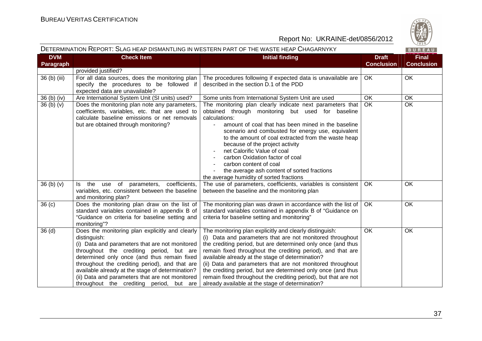

| DETERMINATION REPORT: SLAG HEAP DISMANTLING IN WESTERN PART OF THE WASTE HEAP CHAGARNYKY<br>BUREAU |                                                                                                                                                                                                                                                                                                                                                                                                                   |                                                                                                                                                                                                                                                                                                                                                                                                                                                                                                                                                              |                                   |                                   |
|----------------------------------------------------------------------------------------------------|-------------------------------------------------------------------------------------------------------------------------------------------------------------------------------------------------------------------------------------------------------------------------------------------------------------------------------------------------------------------------------------------------------------------|--------------------------------------------------------------------------------------------------------------------------------------------------------------------------------------------------------------------------------------------------------------------------------------------------------------------------------------------------------------------------------------------------------------------------------------------------------------------------------------------------------------------------------------------------------------|-----------------------------------|-----------------------------------|
| <b>DVM</b><br>Paragraph                                                                            | <b>Check Item</b>                                                                                                                                                                                                                                                                                                                                                                                                 | <b>Initial finding</b>                                                                                                                                                                                                                                                                                                                                                                                                                                                                                                                                       | <b>Draft</b><br><b>Conclusion</b> | <b>Final</b><br><b>Conclusion</b> |
|                                                                                                    | provided justified?                                                                                                                                                                                                                                                                                                                                                                                               |                                                                                                                                                                                                                                                                                                                                                                                                                                                                                                                                                              |                                   |                                   |
| $\overline{36}$ (b) (iii)                                                                          | For all data sources, does the monitoring plan<br>specify the procedures to be followed if<br>expected data are unavailable?                                                                                                                                                                                                                                                                                      | The procedures following if expected data is unavailable are<br>described in the section D.1 of the PDD                                                                                                                                                                                                                                                                                                                                                                                                                                                      | <b>OK</b>                         | <b>OK</b>                         |
| 36 (b) (iv)                                                                                        | Are International System Unit (SI units) used?                                                                                                                                                                                                                                                                                                                                                                    | Some units from International System Unit are used                                                                                                                                                                                                                                                                                                                                                                                                                                                                                                           | OK                                | OK                                |
| 36(b)(v)                                                                                           | Does the monitoring plan note any parameters,<br>coefficients, variables, etc. that are used to<br>calculate baseline emissions or net removals<br>but are obtained through monitoring?                                                                                                                                                                                                                           | The monitoring plan clearly indicate next parameters that<br>obtained through monitoring but used for baseline<br>calculations:<br>amount of coal that has been mined in the baseline<br>scenario and combusted for energy use, equivalent<br>to the amount of coal extracted from the waste heap<br>because of the project activity<br>net Calorific Value of coal<br>carbon Oxidation factor of coal<br>carbon content of coal<br>the average ash content of sorted fractions<br>the average humidity of sorted fractions                                  | <b>OK</b>                         | $\overline{OK}$                   |
| 36(b)(v)                                                                                           | Is the<br>use of parameters, coefficients,<br>variables, etc. consistent between the baseline<br>and monitoring plan?                                                                                                                                                                                                                                                                                             | The use of parameters, coefficients, variables is consistent<br>between the baseline and the monitoring plan                                                                                                                                                                                                                                                                                                                                                                                                                                                 | OK                                | OK                                |
| 36(c)                                                                                              | Does the monitoring plan draw on the list of<br>standard variables contained in appendix B of<br>"Guidance on criteria for baseline setting and<br>monitoring"?                                                                                                                                                                                                                                                   | The monitoring plan was drawn in accordance with the list of<br>standard variables contained in appendix B of "Guidance on<br>criteria for baseline setting and monitoring"                                                                                                                                                                                                                                                                                                                                                                                  | <b>OK</b>                         | OK                                |
| 36(d)                                                                                              | Does the monitoring plan explicitly and clearly<br>distinguish:<br>(i) Data and parameters that are not monitored<br>throughout the crediting period, but are<br>determined only once (and thus remain fixed<br>throughout the crediting period), and that are<br>available already at the stage of determination?<br>(ii) Data and parameters that are not monitored<br>throughout the crediting period, but are | The monitoring plan explicitly and clearly distinguish:<br>(i) Data and parameters that are not monitored throughout<br>the crediting period, but are determined only once (and thus<br>remain fixed throughout the crediting period), and that are<br>available already at the stage of determination?<br>(ii) Data and parameters that are not monitored throughout<br>the crediting period, but are determined only once (and thus<br>remain fixed throughout the crediting period), but that are not<br>already available at the stage of determination? | <b>OK</b>                         | OK                                |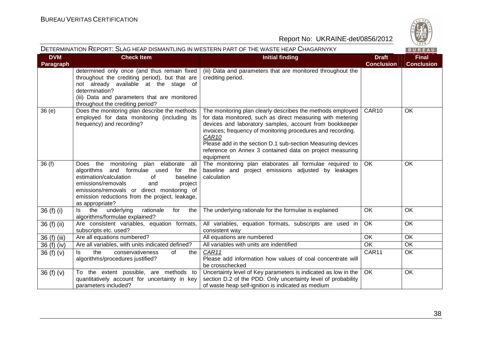

| DETERMINATION REPORT: SLAG HEAP DISMANTLING IN WESTERN PART OF THE WASTE HEAP CHAGARNYKY |                                                                                                                                                                                                                                                                                                |                                                                                                                                                                                                                                                                                                                                                                                                     |                                   |                                   |
|------------------------------------------------------------------------------------------|------------------------------------------------------------------------------------------------------------------------------------------------------------------------------------------------------------------------------------------------------------------------------------------------|-----------------------------------------------------------------------------------------------------------------------------------------------------------------------------------------------------------------------------------------------------------------------------------------------------------------------------------------------------------------------------------------------------|-----------------------------------|-----------------------------------|
| <b>DVM</b><br>Paragraph                                                                  | <b>Check Item</b>                                                                                                                                                                                                                                                                              | <b>Initial finding</b>                                                                                                                                                                                                                                                                                                                                                                              | <b>Draft</b><br><b>Conclusion</b> | <b>Final</b><br><b>Conclusion</b> |
|                                                                                          | determined only once (and thus remain fixed<br>throughout the crediting period), but that are<br>not already available at the stage of<br>determination?<br>(iii) Data and parameters that are monitored<br>throughout the crediting period?                                                   | (iii) Data and parameters that are monitored throughout the<br>crediting period.                                                                                                                                                                                                                                                                                                                    |                                   |                                   |
| 36(e)                                                                                    | Does the monitoring plan describe the methods<br>employed for data monitoring (including its<br>frequency) and recording?                                                                                                                                                                      | The monitoring plan clearly describes the methods employed<br>for data monitored, such as direct measuring with metering<br>devices and laboratory samples, account from bookkeeper<br>invoices; frequency of monitoring procedures and recording.<br>CAR10<br>Please add in the section D.1 sub-section Measuring devices<br>reference on Annex 3 contained data on project measuring<br>equipment | CAR10                             | OK                                |
| 36(f)                                                                                    | the monitoring plan elaborate<br>all<br>Does<br>algorithms and formulae used<br>for the<br>estimation/calculation<br>of<br>baseline<br>emissions/removals<br>and<br>project<br>emissions/removals or direct monitoring of<br>emission reductions from the project, leakage,<br>as appropriate? | The monitoring plan elaborates all formulae required to<br>baseline and project emissions adjusted by leakages<br>calculation                                                                                                                                                                                                                                                                       | OK                                | OK                                |
| 36 (f) (i)                                                                               | underlying<br>rationale<br>the<br>Is the<br>for<br>algorithms/formulae explained?                                                                                                                                                                                                              | The underlying rationale for the formulae is explained                                                                                                                                                                                                                                                                                                                                              | <b>OK</b>                         | <b>OK</b>                         |
| 36 (f) (ii)                                                                              | Are consistent variables, equation formats,<br>subscripts etc. used?                                                                                                                                                                                                                           | All variables, equation formats, subscripts are used in<br>consistent way                                                                                                                                                                                                                                                                                                                           | OK                                | <b>OK</b>                         |
| 36 (f) (iii)                                                                             | Are all equations numbered?                                                                                                                                                                                                                                                                    | All equations are numbered                                                                                                                                                                                                                                                                                                                                                                          | OK                                | OK                                |
| 36 (f) (iv)                                                                              | Are all variables, with units indicated defined?                                                                                                                                                                                                                                               | All variables with units are indentified                                                                                                                                                                                                                                                                                                                                                            | <b>OK</b>                         | OK                                |
| 36 (f) (v)                                                                               | the<br>conservativeness<br>of<br>ls.<br>the<br>algorithms/procedures justified?                                                                                                                                                                                                                | CAR11<br>Please add information how values of coal concentrate will<br>be crosschecked                                                                                                                                                                                                                                                                                                              | CAR11                             | OK                                |
| 36(f)(v)                                                                                 | To the extent possible, are methods to<br>quantitatively account for uncertainty in key<br>parameters included?                                                                                                                                                                                | Uncertainty level of Key parameters is indicated as low in the<br>section D.2 of the PDD. Only uncertainty level of probability<br>of waste heap self-ignition is indicated as medium                                                                                                                                                                                                               | OK                                | OK                                |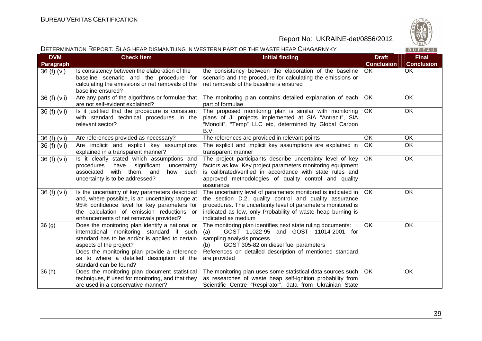

|                                                                                          |                                                                                                                                                                                                                                                                                                   |                                                                                                                                                                                                                                                                                 |                                   | $\sqrt{1828}$                     |
|------------------------------------------------------------------------------------------|---------------------------------------------------------------------------------------------------------------------------------------------------------------------------------------------------------------------------------------------------------------------------------------------------|---------------------------------------------------------------------------------------------------------------------------------------------------------------------------------------------------------------------------------------------------------------------------------|-----------------------------------|-----------------------------------|
| DETERMINATION REPORT: SLAG HEAP DISMANTLING IN WESTERN PART OF THE WASTE HEAP CHAGARNYKY |                                                                                                                                                                                                                                                                                                   |                                                                                                                                                                                                                                                                                 |                                   |                                   |
| <b>DVM</b><br>Paragraph                                                                  | <b>Check Item</b>                                                                                                                                                                                                                                                                                 | <b>Initial finding</b>                                                                                                                                                                                                                                                          | <b>Draft</b><br><b>Conclusion</b> | <b>Final</b><br><b>Conclusion</b> |
| 36 (f) (vi)                                                                              | Is consistency between the elaboration of the<br>baseline scenario and the procedure for<br>calculating the emissions or net removals of the<br>baseline ensured?                                                                                                                                 | the consistency between the elaboration of the baseline<br>scenario and the procedure for calculating the emissions or<br>net removals of the baseline is ensured                                                                                                               | <b>OK</b>                         | <b>OK</b>                         |
| 36 (f) (vii)                                                                             | Are any parts of the algorithms or formulae that<br>are not self-evident explained?                                                                                                                                                                                                               | The monitoring plan contains detailed explanation of each<br>part of formulae                                                                                                                                                                                                   | <b>OK</b>                         | OK                                |
| 36 (f) (vii)                                                                             | Is it justified that the procedure is consistent<br>with standard technical procedures in the<br>relevant sector?                                                                                                                                                                                 | The proposed monitoring plan is similar with monitoring<br>plans of JI projects implemented at SIA "Antracit", SIA<br>"Monolit", "Temp" LLC etc, determined by Global Carbon<br>B.V.                                                                                            | <b>OK</b>                         | $\overline{OK}$                   |
| 36 (f) (vii)                                                                             | Are references provided as necessary?                                                                                                                                                                                                                                                             | The references are provided in relevant points                                                                                                                                                                                                                                  | $\overline{\overline{\text{OK}}}$ | OK                                |
| 36 (f) (vii)                                                                             | Are implicit and explicit key assumptions<br>explained in a transparent manner?                                                                                                                                                                                                                   | The explicit and implicit key assumptions are explained in<br>transparent manner                                                                                                                                                                                                | OK                                | OK                                |
| 36 (f) (vii)                                                                             | Is it clearly stated which assumptions and<br>have<br>significant<br>procedures<br>uncertainty<br>associated<br>with them, and<br>how such<br>uncertainty is to be addressed?                                                                                                                     | The project participants describe uncertainty level of key<br>factors as low. Key project parameters monitoring equipment<br>is calibrated/verified in accordance with state rules and<br>approved methodologies of quality control and quality<br>assurance                    | OK.                               | OK                                |
| 36 (f) (vii)                                                                             | Is the uncertainty of key parameters described<br>and, where possible, is an uncertainty range at<br>95% confidence level for key parameters for<br>the calculation of emission reductions or<br>enhancements of net removals provided?                                                           | The uncertainty level of parameters monitored is indicated in  <br>the section D.2, quality control and quality assurance<br>procedures. The uncertainty level of parameters monitored is<br>indicated as low, only Probability of waste heap burning is<br>indicated as medium | OK.                               | OK                                |
| 36 <sub>(g)</sub>                                                                        | Does the monitoring plan identify a national or<br>international monitoring standard if such<br>standard has to be and/or is applied to certain<br>aspects of the project?<br>Does the monitoring plan provide a reference<br>as to where a detailed description of the<br>standard can be found? | The monitoring plan identifies next state ruling documents:<br>GOST 11022-95 and GOST 11014-2001 for<br>(a)<br>sampling analysis process<br>GOST 305-82 on diesel fuel parameters<br>(b)<br>References on detailed description of mentioned standard<br>are provided            | <b>OK</b>                         | OK                                |
| 36(h)                                                                                    | Does the monitoring plan document statistical<br>techniques, if used for monitoring, and that they<br>are used in a conservative manner?                                                                                                                                                          | The monitoring plan uses some statistical data sources such<br>as researches of waste heap self-ignition probability from<br>Scientific Centre "Respirator", data from Ukrainian State                                                                                          | OK.                               | OK                                |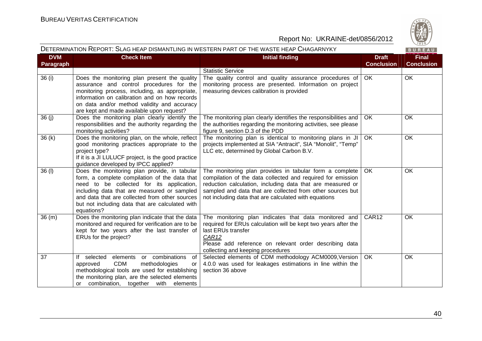

|                         | DETERMINATION REPORT: SLAG HEAP DISMANTLING IN WESTERN PART OF THE WASTE HEAP CHAGARNYKY                                                                                                                                                                                                                     |                                                                                                                                                                                                                                                                                                             |                                   |                                   |  |
|-------------------------|--------------------------------------------------------------------------------------------------------------------------------------------------------------------------------------------------------------------------------------------------------------------------------------------------------------|-------------------------------------------------------------------------------------------------------------------------------------------------------------------------------------------------------------------------------------------------------------------------------------------------------------|-----------------------------------|-----------------------------------|--|
| <b>DVM</b><br>Paragraph | <b>Check Item</b>                                                                                                                                                                                                                                                                                            | <b>Initial finding</b>                                                                                                                                                                                                                                                                                      | <b>Draft</b><br><b>Conclusion</b> | <b>Final</b><br><b>Conclusion</b> |  |
|                         |                                                                                                                                                                                                                                                                                                              | <b>Statistic Service</b>                                                                                                                                                                                                                                                                                    |                                   |                                   |  |
| 36 (i)                  | Does the monitoring plan present the quality<br>assurance and control procedures for the<br>monitoring process, including, as appropriate,<br>information on calibration and on how records<br>on data and/or method validity and accuracy<br>are kept and made available upon request?                      | The quality control and quality assurance procedures of<br>monitoring process are presented. Information on project<br>measuring devices calibration is provided                                                                                                                                            | <b>OK</b>                         | <b>OK</b>                         |  |
| 36(j)                   | Does the monitoring plan clearly identify the<br>responsibilities and the authority regarding the<br>monitoring activities?                                                                                                                                                                                  | The monitoring plan clearly identifies the responsibilities and<br>the authorities regarding the monitoring activities, see please<br>figure 9, section D.3 of the PDD                                                                                                                                      | OK.                               | OK.                               |  |
| 36(k)                   | Does the monitoring plan, on the whole, reflect<br>good monitoring practices appropriate to the<br>project type?<br>If it is a JI LULUCF project, is the good practice<br>guidance developed by IPCC applied?                                                                                                | The monitoring plan is identical to monitoring plans in JI<br>projects implemented at SIA "Antracit", SIA "Monolit", "Temp"<br>LLC etc, determined by Global Carbon B.V.                                                                                                                                    | <b>OK</b>                         | OK                                |  |
| 36(1)                   | Does the monitoring plan provide, in tabular<br>form, a complete compilation of the data that<br>need to be collected for its application,<br>including data that are measured or sampled<br>and data that are collected from other sources<br>but not including data that are calculated with<br>equations? | The monitoring plan provides in tabular form a complete<br>compilation of the data collected and required for emission<br>reduction calculation, including data that are measured or<br>sampled and data that are collected from other sources but<br>not including data that are calculated with equations | <b>OK</b>                         | <b>OK</b>                         |  |
| 36(m)                   | Does the monitoring plan indicate that the data<br>monitored and required for verification are to be<br>kept for two years after the last transfer of<br>ERUs for the project?                                                                                                                               | The monitoring plan indicates that data monitored and<br>required for ERUs calculation will be kept two years after the<br>last ERUs transfer<br>CAR12<br>Please add reference on relevant order describing data<br>collecting and keeping procedures                                                       | CAR12                             | <b>OK</b>                         |  |
| 37                      | elements or combinations<br>If selected<br>of<br><b>CDM</b><br>methodologies<br>approved<br>or<br>methodological tools are used for establishing<br>the monitoring plan, are the selected elements<br>or combination, together with elements                                                                 | Selected elements of CDM methodology ACM0009, Version<br>4.0.0 was used for leakages estimations in line within the<br>section 36 above                                                                                                                                                                     | OK.                               | <b>OK</b>                         |  |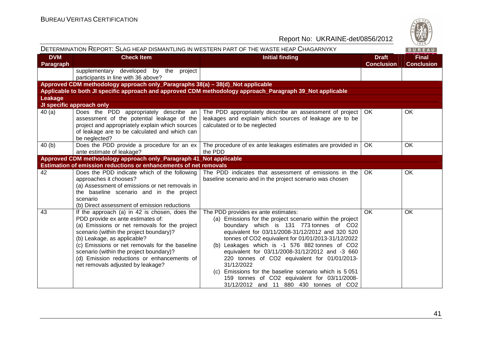

|                         |                                                                                                                                                                                                                                                                                                                                                                                               | DETERMINATION REPORT: SLAG HEAP DISMANTLING IN WESTERN PART OF THE WASTE HEAP CHAGARNYKY                                                                                                                                                                                                                                                                                                                                                                                                                                                                                      |                                   | BUREAU                            |
|-------------------------|-----------------------------------------------------------------------------------------------------------------------------------------------------------------------------------------------------------------------------------------------------------------------------------------------------------------------------------------------------------------------------------------------|-------------------------------------------------------------------------------------------------------------------------------------------------------------------------------------------------------------------------------------------------------------------------------------------------------------------------------------------------------------------------------------------------------------------------------------------------------------------------------------------------------------------------------------------------------------------------------|-----------------------------------|-----------------------------------|
| <b>DVM</b><br>Paragraph | <b>Check Item</b>                                                                                                                                                                                                                                                                                                                                                                             | <b>Initial finding</b>                                                                                                                                                                                                                                                                                                                                                                                                                                                                                                                                                        | <b>Draft</b><br><b>Conclusion</b> | <b>Final</b><br><b>Conclusion</b> |
|                         | supplementary developed by the project<br>participants in line with 36 above?                                                                                                                                                                                                                                                                                                                 |                                                                                                                                                                                                                                                                                                                                                                                                                                                                                                                                                                               |                                   |                                   |
|                         | Approved CDM methodology approach only_Paragraphs 38(a) - 38(d)_Not applicable                                                                                                                                                                                                                                                                                                                |                                                                                                                                                                                                                                                                                                                                                                                                                                                                                                                                                                               |                                   |                                   |
|                         |                                                                                                                                                                                                                                                                                                                                                                                               | Applicable to both JI specific approach and approved CDM methodology approach_Paragraph 39_Not applicable                                                                                                                                                                                                                                                                                                                                                                                                                                                                     |                                   |                                   |
| Leakage                 |                                                                                                                                                                                                                                                                                                                                                                                               |                                                                                                                                                                                                                                                                                                                                                                                                                                                                                                                                                                               |                                   |                                   |
|                         | JI specific approach only                                                                                                                                                                                                                                                                                                                                                                     |                                                                                                                                                                                                                                                                                                                                                                                                                                                                                                                                                                               |                                   |                                   |
| 40(a)                   | Does the PDD appropriately describe an<br>assessment of the potential leakage of the<br>project and appropriately explain which sources<br>of leakage are to be calculated and which can<br>be neglected?                                                                                                                                                                                     | The PDD appropriately describe an assessment of project<br>leakages and explain which sources of leakage are to be<br>calculated or to be neglected                                                                                                                                                                                                                                                                                                                                                                                                                           | OK                                | OK                                |
| 40(b)                   | Does the PDD provide a procedure for an ex                                                                                                                                                                                                                                                                                                                                                    | The procedure of ex ante leakages estimates are provided in                                                                                                                                                                                                                                                                                                                                                                                                                                                                                                                   | OK                                | OK                                |
|                         | ante estimate of leakage?                                                                                                                                                                                                                                                                                                                                                                     | the PDD                                                                                                                                                                                                                                                                                                                                                                                                                                                                                                                                                                       |                                   |                                   |
|                         | Approved CDM methodology approach only_Paragraph 41_Not applicable                                                                                                                                                                                                                                                                                                                            |                                                                                                                                                                                                                                                                                                                                                                                                                                                                                                                                                                               |                                   |                                   |
|                         | Estimation of emission reductions or enhancements of net removals                                                                                                                                                                                                                                                                                                                             |                                                                                                                                                                                                                                                                                                                                                                                                                                                                                                                                                                               |                                   |                                   |
| 42                      | Does the PDD indicate which of the following<br>approaches it chooses?<br>(a) Assessment of emissions or net removals in<br>the baseline scenario and in the project<br>scenario<br>(b) Direct assessment of emission reductions                                                                                                                                                              | The PDD indicates that assessment of emissions in the<br>baseline scenario and in the project scenario was chosen                                                                                                                                                                                                                                                                                                                                                                                                                                                             | <b>OK</b>                         | OK                                |
| 43                      | If the approach (a) in 42 is chosen, does the<br>PDD provide ex ante estimates of:<br>(a) Emissions or net removals for the project<br>scenario (within the project boundary)?<br>(b) Leakage, as applicable?<br>(c) Emissions or net removals for the baseline<br>scenario (within the project boundary)?<br>(d) Emission reductions or enhancements of<br>net removals adjusted by leakage? | The PDD provides ex ante estimates:<br>(a) Emissions for the project scenario within the project<br>boundary which is 131 773 tonnes of CO2<br>equivalent for 03/11/2008-31/12/2012 and 320 520<br>tonnes of CO2 equivalent for 01/01/2013-31/12/2022<br>(b) Leakages which is -1 576 882 tonnes of CO2<br>equivalent for 03/11/2008-31/12/2012 and -3 660<br>220 tonnes of CO2 equivalent for 01/01/2013-<br>31/12/2022<br>(c) Emissions for the baseline scenario which is 5 051<br>159 tonnes of CO2 equivalent for 03/11/2008-<br>31/12/2012 and 11 880 430 tonnes of CO2 | OK                                | OK                                |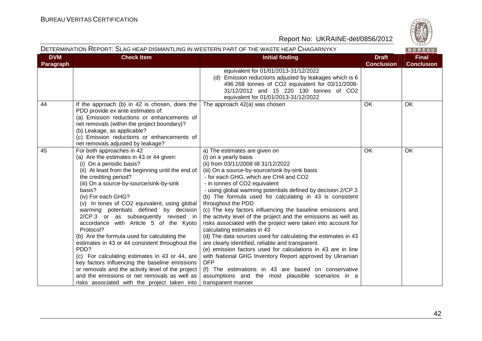

|                         |                                                                                                                                                                                                                                                                                                                                                                                                                                                                                                                                                                                                                                                                                                                                                                                                                          | DETERMINATION REPORT: SLAG HEAP DISMANTLING IN WESTERN PART OF THE WASTE HEAP CHAGARNYKY                                                                                                                                                                                                                                                                                                                                                                                                                                                                                                                                                                                                                                                                                                                                                                                                                                                                                                                       |                                   | BUREAU                            |
|-------------------------|--------------------------------------------------------------------------------------------------------------------------------------------------------------------------------------------------------------------------------------------------------------------------------------------------------------------------------------------------------------------------------------------------------------------------------------------------------------------------------------------------------------------------------------------------------------------------------------------------------------------------------------------------------------------------------------------------------------------------------------------------------------------------------------------------------------------------|----------------------------------------------------------------------------------------------------------------------------------------------------------------------------------------------------------------------------------------------------------------------------------------------------------------------------------------------------------------------------------------------------------------------------------------------------------------------------------------------------------------------------------------------------------------------------------------------------------------------------------------------------------------------------------------------------------------------------------------------------------------------------------------------------------------------------------------------------------------------------------------------------------------------------------------------------------------------------------------------------------------|-----------------------------------|-----------------------------------|
| <b>DVM</b><br>Paragraph | <b>Check Item</b>                                                                                                                                                                                                                                                                                                                                                                                                                                                                                                                                                                                                                                                                                                                                                                                                        | <b>Initial finding</b>                                                                                                                                                                                                                                                                                                                                                                                                                                                                                                                                                                                                                                                                                                                                                                                                                                                                                                                                                                                         | <b>Draft</b><br><b>Conclusion</b> | <b>Final</b><br><b>Conclusion</b> |
|                         |                                                                                                                                                                                                                                                                                                                                                                                                                                                                                                                                                                                                                                                                                                                                                                                                                          | equivalent for 01/01/2013-31/12/2022<br>(d) Emission reductions adjusted by leakages which is 6<br>496 268 tonnes of CO2 equivalent for 03/11/2008-<br>31/12/2012 and 15 220 130 tonnes of CO2<br>equivalent for 01/01/2013-31/12/2022                                                                                                                                                                                                                                                                                                                                                                                                                                                                                                                                                                                                                                                                                                                                                                         |                                   |                                   |
| 44                      | If the approach (b) in 42 is chosen, does the<br>PDD provide ex ante estimates of:<br>(a) Emission reductions or enhancements of<br>net removals (within the project boundary)?<br>(b) Leakage, as applicable?<br>(c) Emission reductions or enhancements of<br>net removals adjusted by leakage?                                                                                                                                                                                                                                                                                                                                                                                                                                                                                                                        | The approach 42(a) was chosen                                                                                                                                                                                                                                                                                                                                                                                                                                                                                                                                                                                                                                                                                                                                                                                                                                                                                                                                                                                  | <b>OK</b>                         | <b>OK</b>                         |
| 45                      | For both approaches in 42<br>(a) Are the estimates in 43 or 44 given:<br>(i) On a periodic basis?<br>(ii) At least from the beginning until the end of<br>the crediting period?<br>(iii) On a source-by-source/sink-by-sink<br>basis?<br>(iv) For each GHG?<br>(v) In tones of CO2 equivalent, using global<br>warming potentials defined by decision<br>2/CP.3 or as subsequently revised in<br>accordance with Article 5 of the Kyoto<br>Protocol?<br>(b) Are the formula used for calculating the<br>estimates in 43 or 44 consistent throughout the<br>PDD?<br>(c) For calculating estimates in 43 or 44, are<br>key factors influencing the baseline emissions<br>or removals and the activity level of the project<br>and the emissions or net removals as well as<br>risks associated with the project taken into | a) The estimates are given on<br>(i) on a yearly basis<br>(ii) from 03/11/2008 till 31/12/2022<br>(iii) On a source-by-source/sink-by-sink basis<br>- for each GHG, which are CH4 and CO2<br>- in tonnes of CO2 equivalent<br>- using global warming potentials defined by decision 2/CP.3<br>(b) The formula used for calculating in 43 is consistent<br>throughout the PDD<br>(c) The key factors influencing the baseline emissions and<br>the activity level of the project and the emissions as well as<br>risks associated with the project were taken into account for<br>calculating estimates in 43<br>(d) The data sources used for calculating the estimates in 43<br>are clearly identified, reliable and transparent.<br>(e) emission factors used for calculations in 43 are in line<br>with National GHG Inventory Report approved by Ukrainian<br><b>DFP</b><br>(f) The estimations in 43 are based on conservative<br>assumptions and the most plausible scenarios in a<br>transparent manner | <b>OK</b>                         | <b>OK</b>                         |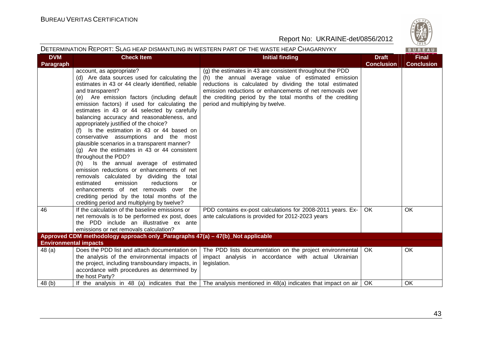

| DETERMINATION REPORT: SLAG HEAP DISMANTLING IN WESTERN PART OF THE WASTE HEAP CHAGARNYKY<br>BUREAU |                                                                                                                                                                                                                                                                                                                                                                                                                                                                                                                                                                                                                                                                                                                                                                                                                                                                                                                                         |                                                                                                                                                                                                                                                                                                                                           |                                   |                                   |  |
|----------------------------------------------------------------------------------------------------|-----------------------------------------------------------------------------------------------------------------------------------------------------------------------------------------------------------------------------------------------------------------------------------------------------------------------------------------------------------------------------------------------------------------------------------------------------------------------------------------------------------------------------------------------------------------------------------------------------------------------------------------------------------------------------------------------------------------------------------------------------------------------------------------------------------------------------------------------------------------------------------------------------------------------------------------|-------------------------------------------------------------------------------------------------------------------------------------------------------------------------------------------------------------------------------------------------------------------------------------------------------------------------------------------|-----------------------------------|-----------------------------------|--|
| <b>DVM</b><br><b>Paragraph</b>                                                                     | <b>Check Item</b>                                                                                                                                                                                                                                                                                                                                                                                                                                                                                                                                                                                                                                                                                                                                                                                                                                                                                                                       | <b>Initial finding</b>                                                                                                                                                                                                                                                                                                                    | <b>Draft</b><br><b>Conclusion</b> | <b>Final</b><br><b>Conclusion</b> |  |
|                                                                                                    | account, as appropriate?<br>(d) Are data sources used for calculating the<br>estimates in 43 or 44 clearly identified, reliable<br>and transparent?<br>(e) Are emission factors (including default<br>emission factors) if used for calculating the<br>estimates in 43 or 44 selected by carefully<br>balancing accuracy and reasonableness, and<br>appropriately justified of the choice?<br>(f) Is the estimation in 43 or 44 based on<br>conservative assumptions and the most<br>plausible scenarios in a transparent manner?<br>(g) Are the estimates in 43 or 44 consistent<br>throughout the PDD?<br>Is the annual average of estimated<br>(h)<br>emission reductions or enhancements of net<br>removals calculated by dividing the total<br>estimated<br>emission<br>reductions<br>or<br>enhancements of net removals over<br>the<br>crediting period by the total months of the<br>crediting period and multiplying by twelve? | (g) the estimates in 43 are consistent throughout the PDD<br>(h) the annual average value of estimated emission<br>reductions is calculated by dividing the total estimated<br>emission reductions or enhancements of net removals over<br>the crediting period by the total months of the crediting<br>period and multiplying by twelve. |                                   |                                   |  |
| 46                                                                                                 | If the calculation of the baseline emissions or<br>net removals is to be performed ex post, does<br>the PDD include an illustrative ex ante<br>emissions or net removals calculation?                                                                                                                                                                                                                                                                                                                                                                                                                                                                                                                                                                                                                                                                                                                                                   | PDD contains ex-post calculations for 2008-2011 years. Ex-<br>ante calculations is provided for 2012-2023 years                                                                                                                                                                                                                           | OK                                | OK                                |  |
| Approved CDM methodology approach only_Paragraphs 47(a) -47(b)_Not applicable                      |                                                                                                                                                                                                                                                                                                                                                                                                                                                                                                                                                                                                                                                                                                                                                                                                                                                                                                                                         |                                                                                                                                                                                                                                                                                                                                           |                                   |                                   |  |
| <b>Environmental impacts</b>                                                                       |                                                                                                                                                                                                                                                                                                                                                                                                                                                                                                                                                                                                                                                                                                                                                                                                                                                                                                                                         |                                                                                                                                                                                                                                                                                                                                           |                                   |                                   |  |
| 48(a)                                                                                              | Does the PDD list and attach documentation on<br>the analysis of the environmental impacts of<br>the project, including transboundary impacts, in<br>accordance with procedures as determined by<br>the host Party?                                                                                                                                                                                                                                                                                                                                                                                                                                                                                                                                                                                                                                                                                                                     | The PDD lists documentation on the project environmental   OK<br>impact analysis in accordance with actual Ukrainian<br>legislation.                                                                                                                                                                                                      |                                   | OK                                |  |
| 48 (b)                                                                                             | If the analysis in 48 (a) indicates that the                                                                                                                                                                                                                                                                                                                                                                                                                                                                                                                                                                                                                                                                                                                                                                                                                                                                                            | The analysis mentioned in 48(a) indicates that impact on air $\vert$ OK                                                                                                                                                                                                                                                                   |                                   | OK                                |  |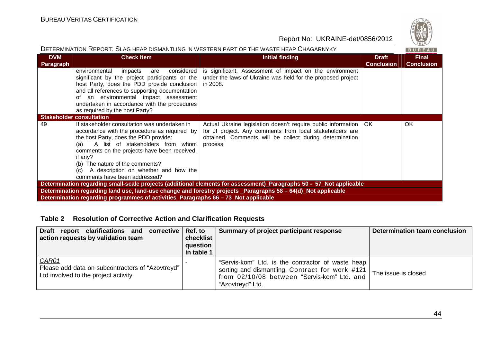

| DETERMINATION REPORT: SLAG HEAP DISMANTLING IN WESTERN PART OF THE WASTE HEAP CHAGARNYKY                            |                                                                                                                                                                                                                                                                                                                                                                 |                                                                                                                                                                                                      |                                   |                                   |  |  |
|---------------------------------------------------------------------------------------------------------------------|-----------------------------------------------------------------------------------------------------------------------------------------------------------------------------------------------------------------------------------------------------------------------------------------------------------------------------------------------------------------|------------------------------------------------------------------------------------------------------------------------------------------------------------------------------------------------------|-----------------------------------|-----------------------------------|--|--|
| <b>DVM</b><br><b>Paragraph</b>                                                                                      | <b>Check Item</b>                                                                                                                                                                                                                                                                                                                                               | Initial finding                                                                                                                                                                                      | <b>Draft</b><br><b>Conclusion</b> | <b>Final</b><br><b>Conclusion</b> |  |  |
|                                                                                                                     | considered<br>environmental<br>impacts<br>are<br>significant by the project participants or the<br>host Party, does the PDD provide conclusion<br>and all references to supporting documentation<br>of an environmental impact assessment<br>undertaken in accordance with the procedures<br>as required by the host Party?                                     | is significant. Assessment of impact on the environment<br>under the laws of Ukraine was held for the proposed project<br>in 2008.                                                                   |                                   |                                   |  |  |
|                                                                                                                     | <b>Stakeholder consultation</b>                                                                                                                                                                                                                                                                                                                                 |                                                                                                                                                                                                      |                                   |                                   |  |  |
| 49                                                                                                                  | If stakeholder consultation was undertaken in<br>accordance with the procedure as required by<br>the host Party, does the PDD provide:<br>A list of stakeholders from whom<br>(a)<br>comments on the projects have been received,<br>if any?<br>(b) The nature of the comments?<br>A description on whether and how the<br>(c)<br>comments have been addressed? | Actual Ukraine legislation doesn't require public information   OK<br>for JI project. Any comments from local stakeholders are<br>obtained. Comments will be collect during determination<br>process |                                   | <b>OK</b>                         |  |  |
| Determination regarding small-scale projects (additional elements for assessment)_Paragraphs 50 - 57_Not applicable |                                                                                                                                                                                                                                                                                                                                                                 |                                                                                                                                                                                                      |                                   |                                   |  |  |
|                                                                                                                     | Determination regarding land use, land-use change and forestry projects Paragraphs 58 – 64(d) Not applicable                                                                                                                                                                                                                                                    |                                                                                                                                                                                                      |                                   |                                   |  |  |
|                                                                                                                     | Determination regarding programmes of activities_Paragraphs 66 - 73_Not applicable                                                                                                                                                                                                                                                                              |                                                                                                                                                                                                      |                                   |                                   |  |  |

# **Table 2 Resolution of Corrective Action and Clarification Requests**

| Draft report clarifications and corrective Ref. to<br>action requests by validation team             | checklist<br>question<br>in table 1 | Summary of project participant response                                                                                                                                 | Determination team conclusion |
|------------------------------------------------------------------------------------------------------|-------------------------------------|-------------------------------------------------------------------------------------------------------------------------------------------------------------------------|-------------------------------|
| CAR01<br>Please add data on subcontractors of "Azovtreyd"  <br>Ltd involved to the project activity. |                                     | "Servis-kom" Ltd. is the contractor of waste heap<br>sorting and dismantling. Contract for work #121<br>from 02/10/08 between "Servis-kom" Ltd. and<br>"Azovtreyd" Ltd. | The issue is closed           |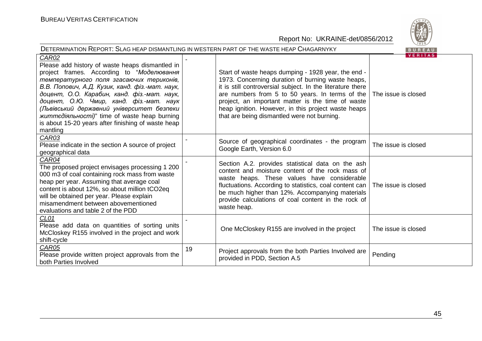

| DETERMINATION REPORT: SLAG HEAP DISMANTLING IN WESTERN PART OF THE WASTE HEAP CHAGARNYKY<br>BUREAU                                                                                                                                                                                                                                                                                                                                                                    |    |                                                                                                                                                                                                                                                                                                                                                                                      |                                       |  |  |
|-----------------------------------------------------------------------------------------------------------------------------------------------------------------------------------------------------------------------------------------------------------------------------------------------------------------------------------------------------------------------------------------------------------------------------------------------------------------------|----|--------------------------------------------------------------------------------------------------------------------------------------------------------------------------------------------------------------------------------------------------------------------------------------------------------------------------------------------------------------------------------------|---------------------------------------|--|--|
| CAR02<br>Please add history of waste heaps dismantled in<br>project frames. According to "Моделювання<br>температурного поля згасаючих териконів,<br>В.В. Попович, А.Д. Кузик, канд. фіз.-мат. наук,<br>доцент, О.О. Карабин, канд. фіз.-мат. наук,<br>доцент, О.Ю. Чмир, канд. фіз.-мат. наук<br>(Львівський державний університет безпеки<br><i>життедіяльності)</i> " time of waste heap burning<br>is about 15-20 years after finishing of waste heap<br>mantling |    | Start of waste heaps dumping - 1928 year, the end -<br>1973. Concerning duration of burning waste heaps,<br>it is still controversial subject. In the literature there<br>are numbers from 5 to 50 years. In terms of the<br>project, an important matter is the time of waste<br>heap ignition. However, in this project waste heaps<br>that are being dismantled were not burning. | <b>VERITAS</b><br>The issue is closed |  |  |
| CAR03<br>Please indicate in the section A source of project<br>geographical data                                                                                                                                                                                                                                                                                                                                                                                      |    | Source of geographical coordinates - the program<br>Google Earth, Version 6.0                                                                                                                                                                                                                                                                                                        | The issue is closed                   |  |  |
| CAR04<br>The proposed project envisages processing 1 200<br>000 m3 of coal containing rock mass from waste<br>heap per year. Assuming that average coal<br>content is about 12%, so about million tCO2eq<br>will be obtained per year. Please explain<br>misamendment between abovementioned<br>evaluations and table 2 of the PDD                                                                                                                                    |    | Section A.2. provides statistical data on the ash<br>content and moisture content of the rock mass of<br>waste heaps. These values have considerable<br>fluctuations. According to statistics, coal content can<br>be much higher than 12%. Accompanying materials<br>provide calculations of coal content in the rock of<br>waste heap.                                             | The issue is closed                   |  |  |
| CL <sub>01</sub><br>Please add data on quantities of sorting units<br>McCloskey R155 involved in the project and work<br>shift-cycle                                                                                                                                                                                                                                                                                                                                  |    | One McCloskey R155 are involved in the project                                                                                                                                                                                                                                                                                                                                       | The issue is closed                   |  |  |
| CAR05<br>Please provide written project approvals from the<br>both Parties Involved                                                                                                                                                                                                                                                                                                                                                                                   | 19 | Project approvals from the both Parties Involved are<br>provided in PDD, Section A.5                                                                                                                                                                                                                                                                                                 | Pending                               |  |  |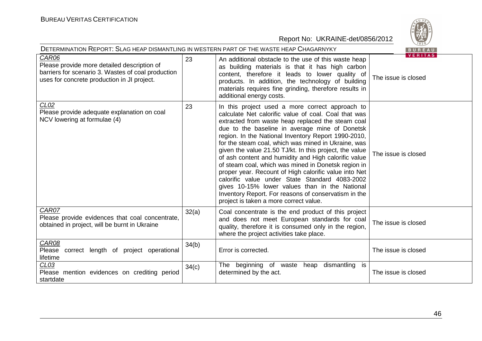| DETERMINATION REPORT: SLAG HEAP DISMANTLING IN WESTERN PART OF THE WASTE HEAP CHAGARNYKY<br>BUREAU                                                        |       |                                                                                                                                                                                                                                                                                                                                                                                                                                                                                                                                                                                                                                                                                                                                                                       |                                       |  |
|-----------------------------------------------------------------------------------------------------------------------------------------------------------|-------|-----------------------------------------------------------------------------------------------------------------------------------------------------------------------------------------------------------------------------------------------------------------------------------------------------------------------------------------------------------------------------------------------------------------------------------------------------------------------------------------------------------------------------------------------------------------------------------------------------------------------------------------------------------------------------------------------------------------------------------------------------------------------|---------------------------------------|--|
| CAR06<br>Please provide more detailed description of<br>barriers for scenario 3. Wastes of coal production<br>uses for concrete production in JI project. | 23    | An additional obstacle to the use of this waste heap<br>as building materials is that it has high carbon<br>content, therefore it leads to lower quality of<br>products. In addition, the technology of building<br>materials requires fine grinding, therefore results in<br>additional energy costs.                                                                                                                                                                                                                                                                                                                                                                                                                                                                | <b>VERITAS</b><br>The issue is closed |  |
| CL <sub>02</sub><br>Please provide adequate explanation on coal<br>NCV lowering at formulae (4)                                                           | 23    | In this project used a more correct approach to<br>calculate Net calorific value of coal. Coal that was<br>extracted from waste heap replaced the steam coal<br>due to the baseline in average mine of Donetsk<br>region. In the National Inventory Report 1990-2010,<br>for the steam coal, which was mined in Ukraine, was<br>given the value 21.50 TJ/kt. In this project, the value<br>of ash content and humidity and High calorific value<br>of steam coal, which was mined in Donetsk region in<br>proper year. Recount of High calorific value into Net<br>calorific value under State Standard 4083-2002<br>gives 10-15% lower values than in the National<br>Inventory Report. For reasons of conservatism in the<br>project is taken a more correct value. | The issue is closed                   |  |
| CAR07<br>Please provide evidences that coal concentrate,<br>obtained in project, will be burnt in Ukraine                                                 | 32(a) | Coal concentrate is the end product of this project<br>and does not meet European standards for coal<br>quality, therefore it is consumed only in the region,<br>where the project activities take place.                                                                                                                                                                                                                                                                                                                                                                                                                                                                                                                                                             | The issue is closed                   |  |
| CAR08<br>Please<br>correct length of project operational<br>lifetime                                                                                      | 34(b) | Error is corrected.                                                                                                                                                                                                                                                                                                                                                                                                                                                                                                                                                                                                                                                                                                                                                   | The issue is closed                   |  |
| CL <sub>03</sub><br>Please mention evidences on crediting period<br>startdate                                                                             | 34(c) | heap dismantling<br>The beginning of waste<br>is<br>determined by the act.                                                                                                                                                                                                                                                                                                                                                                                                                                                                                                                                                                                                                                                                                            | The issue is closed                   |  |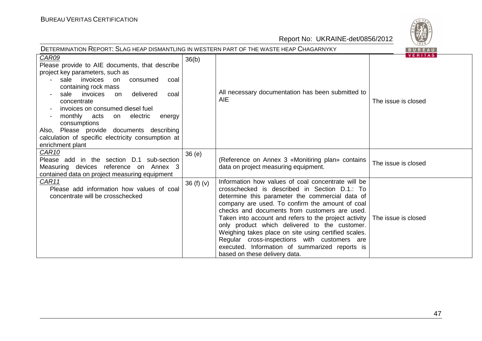| DETERMINATION REPORT: SLAG HEAP DISMANTLING IN WESTERN PART OF THE WASTE HEAP CHAGARNYKY                                                                                                                                                                                                                                                                                                                                                           |             |                                                                                                                                                                                                                                                                                                                                                                                                                                                                                                                                                                 | ご。~<br>BUREAU                         |
|----------------------------------------------------------------------------------------------------------------------------------------------------------------------------------------------------------------------------------------------------------------------------------------------------------------------------------------------------------------------------------------------------------------------------------------------------|-------------|-----------------------------------------------------------------------------------------------------------------------------------------------------------------------------------------------------------------------------------------------------------------------------------------------------------------------------------------------------------------------------------------------------------------------------------------------------------------------------------------------------------------------------------------------------------------|---------------------------------------|
| CAR09<br>Please provide to AIE documents, that describe<br>project key parameters, such as<br>sale invoices<br>on<br>consumed<br>coal<br>containing rock mass<br>delivered<br>sale<br>invoices<br>on<br>coal<br>concentrate<br>invoices on consumed diesel fuel<br>monthly<br>acts<br>on electric<br>energy<br>consumptions<br>Also, Please provide documents describing<br>calculation of specific electricity consumption at<br>enrichment plant | 36(b)       | All necessary documentation has been submitted to<br><b>AIE</b>                                                                                                                                                                                                                                                                                                                                                                                                                                                                                                 | <b>VERITAS</b><br>The issue is closed |
| CAR10<br>Please add in the section D.1 sub-section<br>Measuring devices reference on Annex 3<br>contained data on project measuring equipment                                                                                                                                                                                                                                                                                                      | 36(e)       | (Reference on Annex 3 «Monitiring plan» contains<br>data on project measuring equipment.                                                                                                                                                                                                                                                                                                                                                                                                                                                                        | The issue is closed                   |
| CAR11<br>Please add information how values of coal<br>concentrate will be crosschecked                                                                                                                                                                                                                                                                                                                                                             | 36 $(f)(v)$ | Information how values of coal concentrate will be<br>crosschecked is described in Section D.1.: To<br>determine this parameter the commercial data of<br>company are used. To confirm the amount of coal<br>checks and documents from customers are used.<br>Taken into account and refers to the project activity<br>only product which delivered to the customer.<br>Weighing takes place on site using certified scales.<br>Regular cross-inspections with customers are<br>executed. Information of summarized reports is<br>based on these delivery data. | The issue is closed                   |